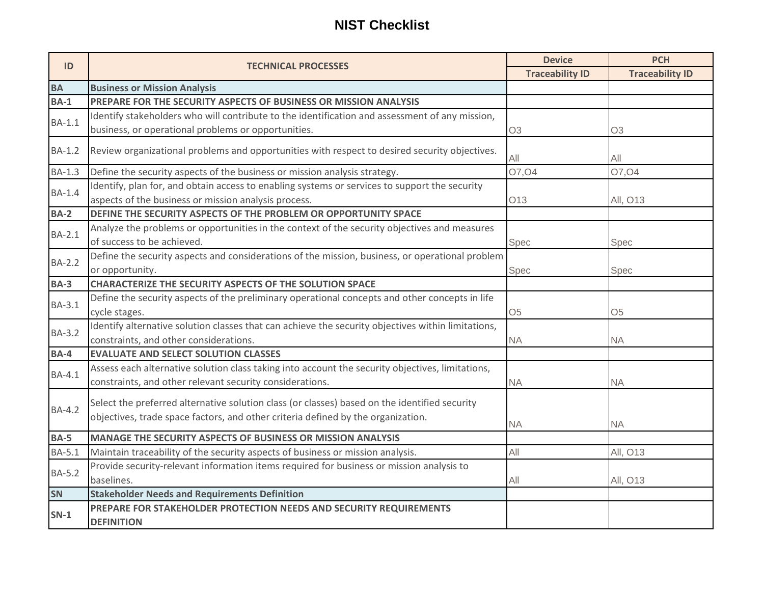| ID            | <b>TECHNICAL PROCESSES</b>                                                                                                                                                        | <b>Device</b>          | <b>PCH</b>             |
|---------------|-----------------------------------------------------------------------------------------------------------------------------------------------------------------------------------|------------------------|------------------------|
|               |                                                                                                                                                                                   | <b>Traceability ID</b> | <b>Traceability ID</b> |
| <b>BA</b>     | <b>Business or Mission Analysis</b>                                                                                                                                               |                        |                        |
| <b>BA-1</b>   | PREPARE FOR THE SECURITY ASPECTS OF BUSINESS OR MISSION ANALYSIS                                                                                                                  |                        |                        |
| <b>BA-1.1</b> | Identify stakeholders who will contribute to the identification and assessment of any mission,                                                                                    |                        |                        |
|               | business, or operational problems or opportunities.                                                                                                                               | O <sub>3</sub>         | O <sub>3</sub>         |
| <b>BA-1.2</b> | Review organizational problems and opportunities with respect to desired security objectives.                                                                                     | All                    | All                    |
| <b>BA-1.3</b> | Define the security aspects of the business or mission analysis strategy.                                                                                                         | O7, O4                 | O7, O4                 |
| <b>BA-1.4</b> | Identify, plan for, and obtain access to enabling systems or services to support the security                                                                                     |                        |                        |
|               | aspects of the business or mission analysis process.                                                                                                                              | O13                    | All, O13               |
| <b>BA-2</b>   | DEFINE THE SECURITY ASPECTS OF THE PROBLEM OR OPPORTUNITY SPACE                                                                                                                   |                        |                        |
| BA-2.1        | Analyze the problems or opportunities in the context of the security objectives and measures                                                                                      |                        |                        |
|               | of success to be achieved.                                                                                                                                                        | <b>Spec</b>            | Spec                   |
| <b>BA-2.2</b> | Define the security aspects and considerations of the mission, business, or operational problem                                                                                   |                        |                        |
|               | or opportunity.                                                                                                                                                                   | Spec                   | Spec                   |
| <b>BA-3</b>   | <b>CHARACTERIZE THE SECURITY ASPECTS OF THE SOLUTION SPACE</b>                                                                                                                    |                        |                        |
| BA-3.1        | Define the security aspects of the preliminary operational concepts and other concepts in life                                                                                    |                        |                        |
|               | cycle stages.                                                                                                                                                                     | O <sub>5</sub>         | O <sub>5</sub>         |
| <b>BA-3.2</b> | Identify alternative solution classes that can achieve the security objectives within limitations,                                                                                |                        |                        |
|               | constraints, and other considerations.                                                                                                                                            | <b>NA</b>              | <b>NA</b>              |
| <b>BA-4</b>   | <b>EVALUATE AND SELECT SOLUTION CLASSES</b>                                                                                                                                       |                        |                        |
| <b>BA-4.1</b> | Assess each alternative solution class taking into account the security objectives, limitations,                                                                                  |                        |                        |
|               | constraints, and other relevant security considerations.                                                                                                                          | <b>NA</b>              | <b>NA</b>              |
| <b>BA-4.2</b> | Select the preferred alternative solution class (or classes) based on the identified security<br>objectives, trade space factors, and other criteria defined by the organization. | <b>NA</b>              | <b>NA</b>              |
| <b>BA-5</b>   | MANAGE THE SECURITY ASPECTS OF BUSINESS OR MISSION ANALYSIS                                                                                                                       |                        |                        |
| <b>BA-5.1</b> | Maintain traceability of the security aspects of business or mission analysis.                                                                                                    | All                    | All, O13               |
|               | Provide security-relevant information items required for business or mission analysis to                                                                                          |                        |                        |
| <b>BA-5.2</b> | baselines.                                                                                                                                                                        | All                    | All, O13               |
| <b>SN</b>     | <b>Stakeholder Needs and Requirements Definition</b>                                                                                                                              |                        |                        |
| $SN-1$        | PREPARE FOR STAKEHOLDER PROTECTION NEEDS AND SECURITY REQUIREMENTS                                                                                                                |                        |                        |
|               | <b>DEFINITION</b>                                                                                                                                                                 |                        |                        |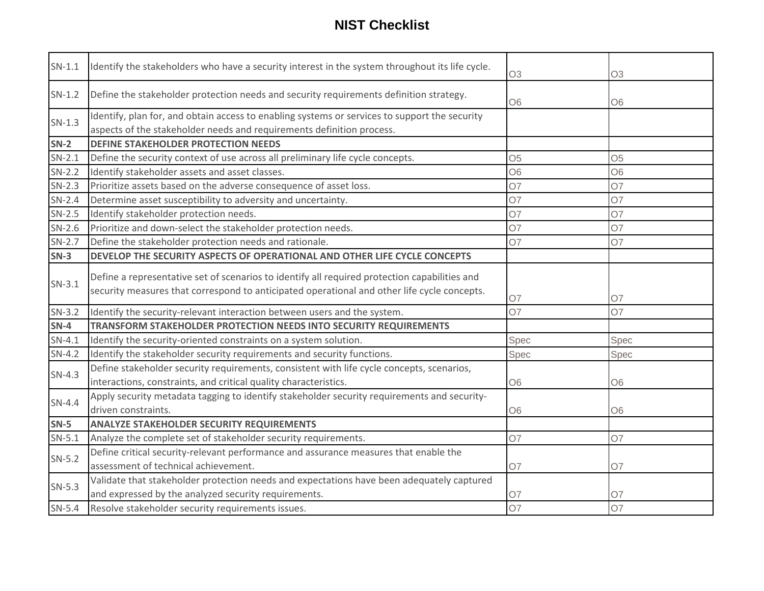| $SN-1.1$ | Identify the stakeholders who have a security interest in the system throughout its life cycle.                                                                                              | O <sub>3</sub> | O <sub>3</sub> |
|----------|----------------------------------------------------------------------------------------------------------------------------------------------------------------------------------------------|----------------|----------------|
| $SN-1.2$ | Define the stakeholder protection needs and security requirements definition strategy.                                                                                                       | O <sub>6</sub> | O <sub>6</sub> |
| $SN-1.3$ | Identify, plan for, and obtain access to enabling systems or services to support the security<br>aspects of the stakeholder needs and requirements definition process.                       |                |                |
| $SN-2$   | <b>DEFINE STAKEHOLDER PROTECTION NEEDS</b>                                                                                                                                                   |                |                |
| $SN-2.1$ | Define the security context of use across all preliminary life cycle concepts.                                                                                                               | O <sub>5</sub> | O <sub>5</sub> |
| $SN-2.2$ | Identify stakeholder assets and asset classes.                                                                                                                                               | O <sub>6</sub> | O <sub>6</sub> |
| $SN-2.3$ | Prioritize assets based on the adverse consequence of asset loss.                                                                                                                            | O7             | O7             |
| $SN-2.4$ | Determine asset susceptibility to adversity and uncertainty.                                                                                                                                 | O7             | O7             |
| $SN-2.5$ | Identify stakeholder protection needs.                                                                                                                                                       | O7             | O7             |
| $SN-2.6$ | Prioritize and down-select the stakeholder protection needs.                                                                                                                                 | O7             | O7             |
| $SN-2.7$ | Define the stakeholder protection needs and rationale.                                                                                                                                       | O7             | O7             |
| $SN-3$   | DEVELOP THE SECURITY ASPECTS OF OPERATIONAL AND OTHER LIFE CYCLE CONCEPTS                                                                                                                    |                |                |
| $SN-3.1$ | Define a representative set of scenarios to identify all required protection capabilities and<br>security measures that correspond to anticipated operational and other life cycle concepts. | O7             | O7             |
| $SN-3.2$ | Identify the security-relevant interaction between users and the system.                                                                                                                     | O7             | O7             |
| $SN-4$   | TRANSFORM STAKEHOLDER PROTECTION NEEDS INTO SECURITY REQUIREMENTS                                                                                                                            |                |                |
| $SN-4.1$ | Identify the security-oriented constraints on a system solution.                                                                                                                             | Spec           | Spec           |
| $SN-4.2$ | Identify the stakeholder security requirements and security functions.                                                                                                                       | Spec           | Spec           |
| $SN-4.3$ | Define stakeholder security requirements, consistent with life cycle concepts, scenarios,                                                                                                    |                |                |
|          | interactions, constraints, and critical quality characteristics.                                                                                                                             | O <sub>6</sub> | O <sub>6</sub> |
| $SN-4.4$ | Apply security metadata tagging to identify stakeholder security requirements and security-                                                                                                  |                |                |
|          | driven constraints.                                                                                                                                                                          | O <sub>6</sub> | O <sub>6</sub> |
| $SN-5$   | <b>ANALYZE STAKEHOLDER SECURITY REQUIREMENTS</b>                                                                                                                                             |                |                |
| $SN-5.1$ | Analyze the complete set of stakeholder security requirements.                                                                                                                               | O7             | O7             |
| $SN-5.2$ | Define critical security-relevant performance and assurance measures that enable the                                                                                                         |                |                |
|          | assessment of technical achievement.                                                                                                                                                         | O7             | O7             |
| $SN-5.3$ | Validate that stakeholder protection needs and expectations have been adequately captured                                                                                                    |                |                |
|          | and expressed by the analyzed security requirements.                                                                                                                                         | O7             | O7             |
| $SN-5.4$ | Resolve stakeholder security requirements issues.                                                                                                                                            | O7             | O7             |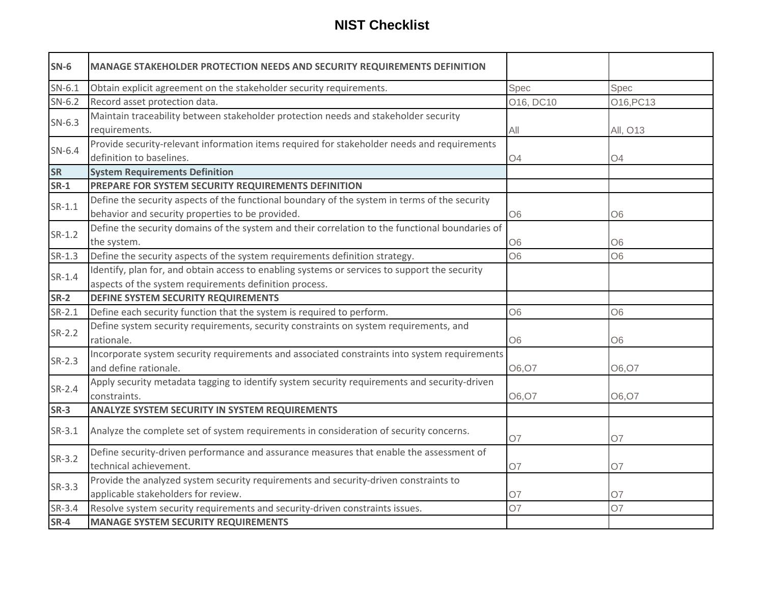| $SN-6$      | MANAGE STAKEHOLDER PROTECTION NEEDS AND SECURITY REQUIREMENTS DEFINITION                                                                                |                |                |
|-------------|---------------------------------------------------------------------------------------------------------------------------------------------------------|----------------|----------------|
| $SN-6.1$    | Obtain explicit agreement on the stakeholder security requirements.                                                                                     | Spec           | Spec           |
| $SN-6.2$    | Record asset protection data.                                                                                                                           | O16, DC10      | O16, PC13      |
| $SN-6.3$    | Maintain traceability between stakeholder protection needs and stakeholder security<br>requirements.                                                    | All            | All, O13       |
| $SN-6.4$    | Provide security-relevant information items required for stakeholder needs and requirements<br>definition to baselines.                                 | O <sub>4</sub> | O <sub>4</sub> |
| <b>SR</b>   | <b>System Requirements Definition</b>                                                                                                                   |                |                |
| $SR-1$      | PREPARE FOR SYSTEM SECURITY REQUIREMENTS DEFINITION                                                                                                     |                |                |
| $SR-1.1$    | Define the security aspects of the functional boundary of the system in terms of the security<br>behavior and security properties to be provided.       | O <sub>6</sub> | O <sub>6</sub> |
| $SR-1.2$    | Define the security domains of the system and their correlation to the functional boundaries of<br>the system.                                          | O <sub>6</sub> | O <sub>6</sub> |
| $SR-1.3$    | Define the security aspects of the system requirements definition strategy.                                                                             | O <sub>6</sub> | O <sub>6</sub> |
| $SR-1.4$    | Identify, plan for, and obtain access to enabling systems or services to support the security<br>aspects of the system requirements definition process. |                |                |
| <b>SR-2</b> | DEFINE SYSTEM SECURITY REQUIREMENTS                                                                                                                     |                |                |
| $SR-2.1$    | Define each security function that the system is required to perform.                                                                                   | O <sub>6</sub> | O <sub>6</sub> |
| $SR-2.2$    | Define system security requirements, security constraints on system requirements, and<br>rationale.                                                     | O <sub>6</sub> | O <sub>6</sub> |
| $SR-2.3$    | Incorporate system security requirements and associated constraints into system requirements<br>and define rationale.                                   | O6, O7         | O6, O7         |
| SR-2.4      | Apply security metadata tagging to identify system security requirements and security-driven<br>constraints.                                            | O6, O7         | O6, O7         |
| $SR-3$      | <b>ANALYZE SYSTEM SECURITY IN SYSTEM REQUIREMENTS</b>                                                                                                   |                |                |
| $SR-3.1$    | Analyze the complete set of system requirements in consideration of security concerns.                                                                  | O7             | O7             |
| SR-3.2      | Define security-driven performance and assurance measures that enable the assessment of<br>technical achievement.                                       | O7             | 07             |
| SR-3.3      | Provide the analyzed system security requirements and security-driven constraints to<br>applicable stakeholders for review.                             | O7             | O7             |
| SR-3.4      | Resolve system security requirements and security-driven constraints issues.                                                                            | O7             | O7             |
| $SR-4$      | <b>MANAGE SYSTEM SECURITY REQUIREMENTS</b>                                                                                                              |                |                |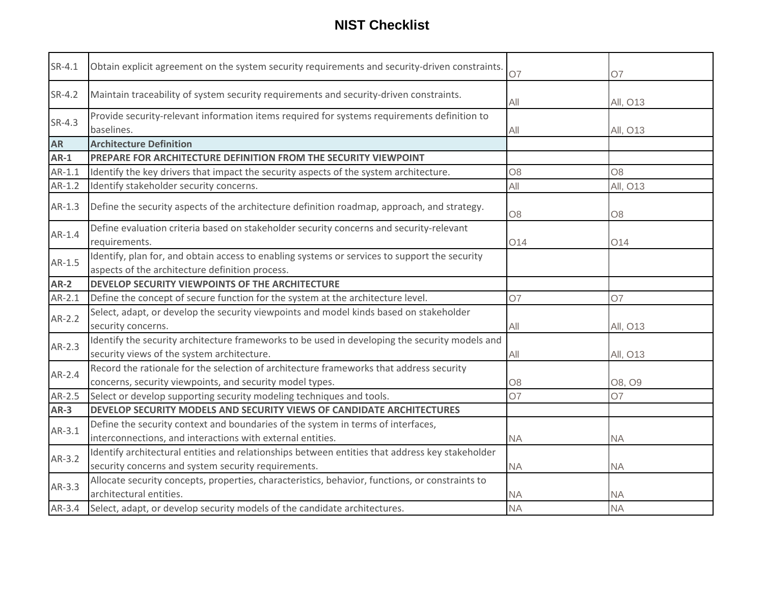| SR-4.1    | Obtain explicit agreement on the system security requirements and security-driven constraints.                                                   | O7             | O <sub>7</sub>  |
|-----------|--------------------------------------------------------------------------------------------------------------------------------------------------|----------------|-----------------|
| SR-4.2    | Maintain traceability of system security requirements and security-driven constraints.                                                           | All            | All, O13        |
| SR-4.3    | Provide security-relevant information items required for systems requirements definition to                                                      |                |                 |
|           | baselines.                                                                                                                                       | All            | All, O13        |
| <b>AR</b> | <b>Architecture Definition</b>                                                                                                                   |                |                 |
| $AR-1$    | PREPARE FOR ARCHITECTURE DEFINITION FROM THE SECURITY VIEWPOINT                                                                                  |                |                 |
| $AR-1.1$  | Identify the key drivers that impact the security aspects of the system architecture.                                                            | O <sub>8</sub> | O <sub>8</sub>  |
| $AR-1.2$  | Identify stakeholder security concerns.                                                                                                          | All            | All, O13        |
| $AR-1.3$  | Define the security aspects of the architecture definition roadmap, approach, and strategy.                                                      | O <sub>8</sub> | O <sub>8</sub>  |
| $AR-1.4$  | Define evaluation criteria based on stakeholder security concerns and security-relevant<br>requirements.                                         | O14            | O14             |
| $AR-1.5$  | Identify, plan for, and obtain access to enabling systems or services to support the security<br>aspects of the architecture definition process. |                |                 |
| $AR-2$    | DEVELOP SECURITY VIEWPOINTS OF THE ARCHITECTURE                                                                                                  |                |                 |
| $AR-2.1$  | Define the concept of secure function for the system at the architecture level.                                                                  | O7             | O7              |
|           | Select, adapt, or develop the security viewpoints and model kinds based on stakeholder                                                           |                |                 |
| $AR-2.2$  | security concerns.                                                                                                                               | All            | All, O13        |
|           | Identify the security architecture frameworks to be used in developing the security models and                                                   |                |                 |
| $AR-2.3$  | security views of the system architecture.                                                                                                       | All            | <b>All, O13</b> |
|           | Record the rationale for the selection of architecture frameworks that address security                                                          |                |                 |
| $AR-2.4$  | concerns, security viewpoints, and security model types.                                                                                         | O <sub>8</sub> | O8, O9          |
| AR-2.5    | Select or develop supporting security modeling techniques and tools.                                                                             | <b>O7</b>      | O7              |
| $AR-3$    | DEVELOP SECURITY MODELS AND SECURITY VIEWS OF CANDIDATE ARCHITECTURES                                                                            |                |                 |
|           | Define the security context and boundaries of the system in terms of interfaces,                                                                 |                |                 |
| $AR-3.1$  | interconnections, and interactions with external entities.                                                                                       | <b>NA</b>      | <b>NA</b>       |
|           | Identify architectural entities and relationships between entities that address key stakeholder                                                  |                |                 |
| AR-3.2    | security concerns and system security requirements.                                                                                              | <b>NA</b>      | <b>NA</b>       |
|           | Allocate security concepts, properties, characteristics, behavior, functions, or constraints to                                                  |                |                 |
| AR-3.3    | architectural entities.                                                                                                                          | <b>NA</b>      | <b>NA</b>       |
| AR-3.4    | Select, adapt, or develop security models of the candidate architectures.                                                                        | <b>NA</b>      | <b>NA</b>       |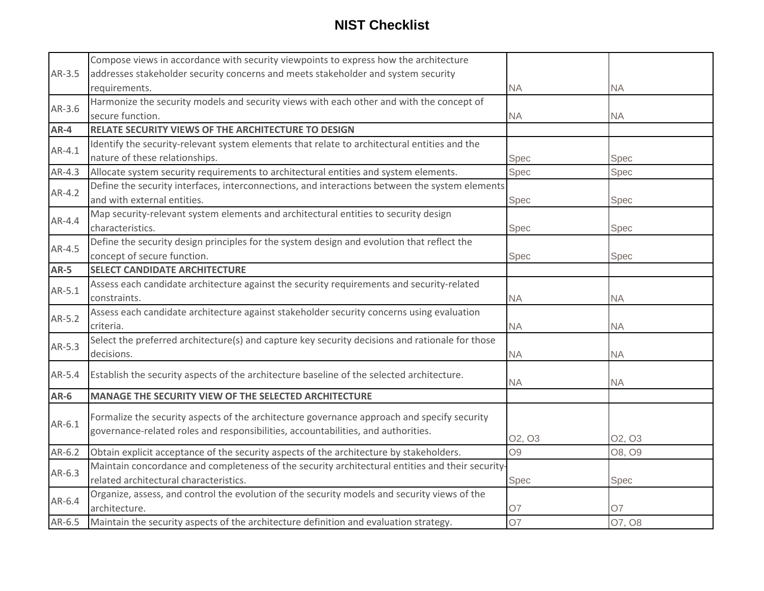|             | Compose views in accordance with security viewpoints to express how the architecture             |                |           |
|-------------|--------------------------------------------------------------------------------------------------|----------------|-----------|
| AR-3.5      | addresses stakeholder security concerns and meets stakeholder and system security                |                |           |
|             | requirements.                                                                                    | <b>NA</b>      | <b>NA</b> |
| AR-3.6      | Harmonize the security models and security views with each other and with the concept of         |                |           |
|             | secure function.                                                                                 | <b>NA</b>      | <b>NA</b> |
| $AR-4$      | <b>RELATE SECURITY VIEWS OF THE ARCHITECTURE TO DESIGN</b>                                       |                |           |
| $AR-4.1$    | Identify the security-relevant system elements that relate to architectural entities and the     |                |           |
|             | nature of these relationships.                                                                   | Spec           | Spec      |
| AR-4.3      | Allocate system security requirements to architectural entities and system elements.             | Spec           | Spec      |
| AR-4.2      | Define the security interfaces, interconnections, and interactions between the system elements   |                |           |
|             | and with external entities.                                                                      | Spec           | Spec      |
| AR-4.4      | Map security-relevant system elements and architectural entities to security design              |                |           |
|             | characteristics.                                                                                 | Spec           | Spec      |
| AR-4.5      | Define the security design principles for the system design and evolution that reflect the       |                |           |
|             | concept of secure function.                                                                      | Spec           | Spec      |
| <b>AR-5</b> | <b>SELECT CANDIDATE ARCHITECTURE</b>                                                             |                |           |
| $AR-5.1$    | Assess each candidate architecture against the security requirements and security-related        |                |           |
|             | constraints.                                                                                     | <b>NA</b>      | <b>NA</b> |
| AR-5.2      | Assess each candidate architecture against stakeholder security concerns using evaluation        |                |           |
|             | criteria.                                                                                        | <b>NA</b>      | <b>NA</b> |
| AR-5.3      | Select the preferred architecture(s) and capture key security decisions and rationale for those  |                |           |
|             | decisions.                                                                                       | <b>NA</b>      | <b>NA</b> |
| AR-5.4      | Establish the security aspects of the architecture baseline of the selected architecture.        |                |           |
|             |                                                                                                  | <b>NA</b>      | <b>NA</b> |
| $AR-6$      | MANAGE THE SECURITY VIEW OF THE SELECTED ARCHITECTURE                                            |                |           |
|             | Formalize the security aspects of the architecture governance approach and specify security      |                |           |
| $AR-6.1$    | governance-related roles and responsibilities, accountabilities, and authorities.                |                |           |
|             |                                                                                                  | O2, O3         | O2, O3    |
| $AR-6.2$    | Obtain explicit acceptance of the security aspects of the architecture by stakeholders.          | O <sub>9</sub> | O8, O9    |
| AR-6.3      | Maintain concordance and completeness of the security architectural entities and their security- |                |           |
|             | related architectural characteristics.                                                           | Spec           | Spec      |
| $AR-6.4$    | Organize, assess, and control the evolution of the security models and security views of the     |                |           |
|             | architecture.                                                                                    | O7             | O7        |
| AR-6.5      | Maintain the security aspects of the architecture definition and evaluation strategy.            | O7             | O7, O8    |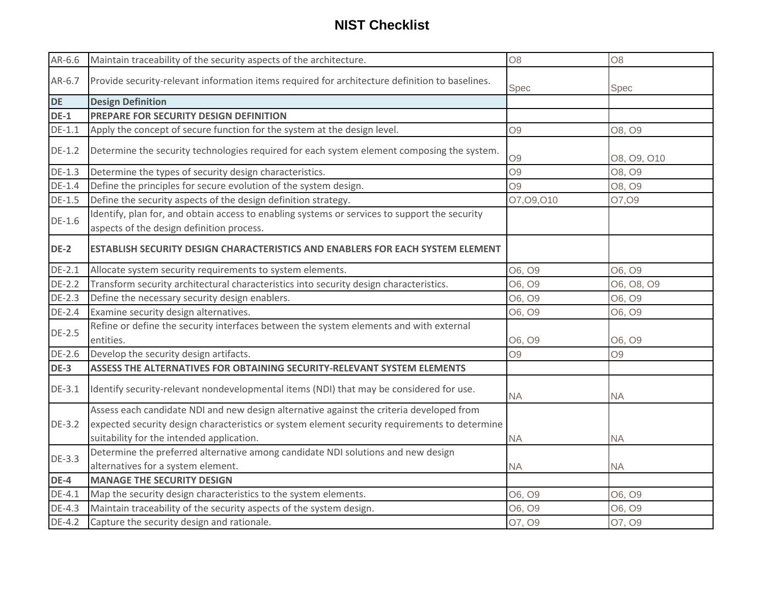| AR-6.6        | Maintain traceability of the security aspects of the architecture.                                                                                                                                                                     | O <sub>8</sub> | O <sub>8</sub> |
|---------------|----------------------------------------------------------------------------------------------------------------------------------------------------------------------------------------------------------------------------------------|----------------|----------------|
| AR-6.7        | Provide security-relevant information items required for architecture definition to baselines.                                                                                                                                         | Spec           | <b>Spec</b>    |
| <b>DE</b>     | <b>Design Definition</b>                                                                                                                                                                                                               |                |                |
| $DE-1$        | PREPARE FOR SECURITY DESIGN DEFINITION                                                                                                                                                                                                 |                |                |
| $DE-1.1$      | Apply the concept of secure function for the system at the design level.                                                                                                                                                               | O <sub>9</sub> | O8, O9         |
| $DE-1.2$      | Determine the security technologies required for each system element composing the system.                                                                                                                                             | O <sub>9</sub> | O8, O9, O10    |
| DE-1.3        | Determine the types of security design characteristics.                                                                                                                                                                                | O <sub>9</sub> | O8, O9         |
| DE-1.4        | Define the principles for secure evolution of the system design.                                                                                                                                                                       | O <sub>9</sub> | O8, O9         |
| DE-1.5        | Define the security aspects of the design definition strategy.                                                                                                                                                                         | O7, O9, O10    | O7, O9         |
| DE-1.6        | Identify, plan for, and obtain access to enabling systems or services to support the security<br>aspects of the design definition process.                                                                                             |                |                |
| <b>DE-2</b>   | ESTABLISH SECURITY DESIGN CHARACTERISTICS AND ENABLERS FOR EACH SYSTEM ELEMENT                                                                                                                                                         |                |                |
| DE-2.1        | Allocate system security requirements to system elements.                                                                                                                                                                              | O6, O9         | O6, O9         |
| DE-2.2        | Transform security architectural characteristics into security design characteristics.                                                                                                                                                 | O6, O9         | O6, O8, O9     |
| DE-2.3        | Define the necessary security design enablers.                                                                                                                                                                                         | O6, O9         | O6, O9         |
| DE-2.4        | Examine security design alternatives.                                                                                                                                                                                                  | O6, O9         | O6, O9         |
| <b>DE-2.5</b> | Refine or define the security interfaces between the system elements and with external<br>entities.                                                                                                                                    | O6, O9         | O6, O9         |
| DE-2.6        | Develop the security design artifacts.                                                                                                                                                                                                 | O <sub>9</sub> | O <sub>9</sub> |
| <b>DE-3</b>   | ASSESS THE ALTERNATIVES FOR OBTAINING SECURITY-RELEVANT SYSTEM ELEMENTS                                                                                                                                                                |                |                |
| DE-3.1        | Identify security-relevant nondevelopmental items (NDI) that may be considered for use.                                                                                                                                                | <b>NA</b>      | <b>NA</b>      |
| DE-3.2        | Assess each candidate NDI and new design alternative against the criteria developed from<br>expected security design characteristics or system element security requirements to determine<br>suitability for the intended application. | <b>NA</b>      | <b>NA</b>      |
| DE-3.3        | Determine the preferred alternative among candidate NDI solutions and new design                                                                                                                                                       |                |                |
|               | alternatives for a system element.                                                                                                                                                                                                     | <b>NA</b>      | <b>NA</b>      |
| $DE-4$        | <b>MANAGE THE SECURITY DESIGN</b>                                                                                                                                                                                                      |                |                |
| DE-4.1        | Map the security design characteristics to the system elements.                                                                                                                                                                        | O6, O9         | O6, O9         |
| DE-4.3        | Maintain traceability of the security aspects of the system design.                                                                                                                                                                    | O6, O9         | O6, O9         |
| DE-4.2        | Capture the security design and rationale.                                                                                                                                                                                             | O7, O9         | O7, O9         |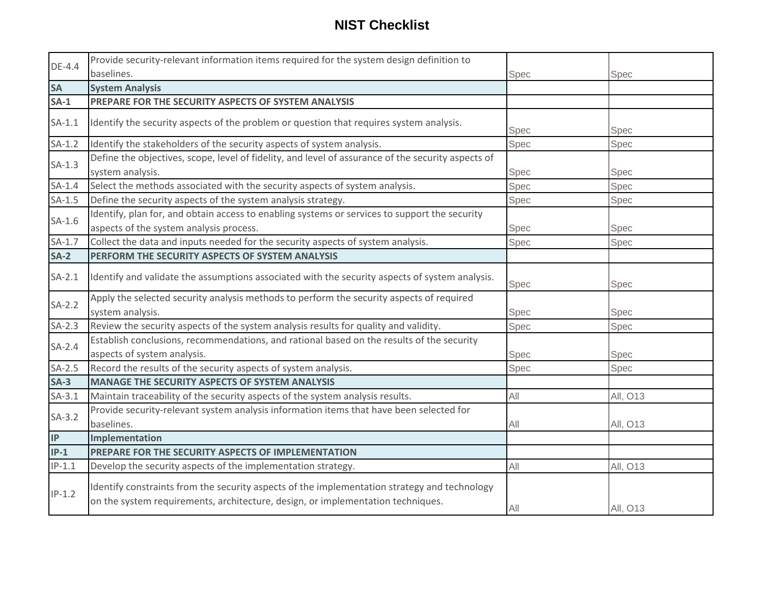| DE-4.4                     | Provide security-relevant information items required for the system design definition to                                                                                        |      |             |
|----------------------------|---------------------------------------------------------------------------------------------------------------------------------------------------------------------------------|------|-------------|
|                            | baselines.                                                                                                                                                                      | Spec | <b>Spec</b> |
| <b>SA</b>                  | <b>System Analysis</b>                                                                                                                                                          |      |             |
| $SA-1$                     | PREPARE FOR THE SECURITY ASPECTS OF SYSTEM ANALYSIS                                                                                                                             |      |             |
| $SA-1.1$                   | Identify the security aspects of the problem or question that requires system analysis.                                                                                         | Spec | Spec        |
| $SA-1.2$                   | Identify the stakeholders of the security aspects of system analysis.                                                                                                           | Spec | Spec        |
| $SA-1.3$                   | Define the objectives, scope, level of fidelity, and level of assurance of the security aspects of<br>system analysis.                                                          | Spec | Spec        |
| $SA-1.4$                   | Select the methods associated with the security aspects of system analysis.                                                                                                     | Spec | Spec        |
| $SA-1.5$                   | Define the security aspects of the system analysis strategy.                                                                                                                    | Spec | Spec        |
| $SA-1.6$                   | Identify, plan for, and obtain access to enabling systems or services to support the security<br>aspects of the system analysis process.                                        | Spec | Spec        |
| $SA-1.7$                   | Collect the data and inputs needed for the security aspects of system analysis.                                                                                                 | Spec | Spec        |
| $SA-2$                     | PERFORM THE SECURITY ASPECTS OF SYSTEM ANALYSIS                                                                                                                                 |      |             |
| $SA-2.1$                   | Identify and validate the assumptions associated with the security aspects of system analysis.                                                                                  | Spec | Spec        |
| $SA-2.2$                   | Apply the selected security analysis methods to perform the security aspects of required<br>system analysis.                                                                    | Spec | Spec        |
| $SA-2.3$                   | Review the security aspects of the system analysis results for quality and validity.                                                                                            | Spec | Spec        |
| $SA-2.4$                   | Establish conclusions, recommendations, and rational based on the results of the security<br>aspects of system analysis.                                                        | Spec | Spec        |
| $SA-2.5$                   | Record the results of the security aspects of system analysis.                                                                                                                  | Spec | Spec        |
| $SA-3$                     | <b>MANAGE THE SECURITY ASPECTS OF SYSTEM ANALYSIS</b>                                                                                                                           |      |             |
| $SA-3.1$                   | Maintain traceability of the security aspects of the system analysis results.                                                                                                   | All  | All, O13    |
| $SA-3.2$                   | Provide security-relevant system analysis information items that have been selected for<br>baselines.                                                                           | All  | All, O13    |
| $\ensuremath{\mathsf{IP}}$ | Implementation                                                                                                                                                                  |      |             |
| $IP-1$                     | PREPARE FOR THE SECURITY ASPECTS OF IMPLEMENTATION                                                                                                                              |      |             |
| $IP-1.1$                   | Develop the security aspects of the implementation strategy.                                                                                                                    | All  | All, O13    |
| $IP-1.2$                   | Identify constraints from the security aspects of the implementation strategy and technology<br>on the system requirements, architecture, design, or implementation techniques. | All  | All, O13    |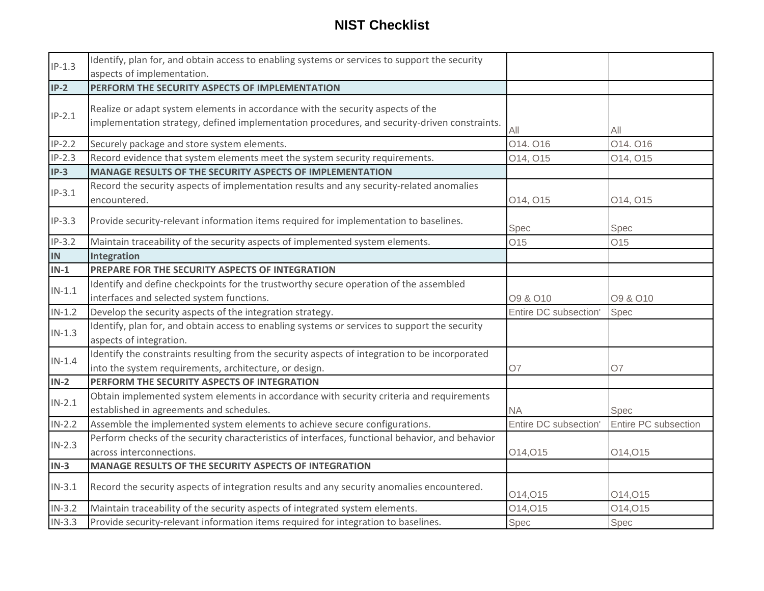| $IP-1.3$      | Identify, plan for, and obtain access to enabling systems or services to support the security<br>aspects of implementation.                                                     |                       |                      |
|---------------|---------------------------------------------------------------------------------------------------------------------------------------------------------------------------------|-----------------------|----------------------|
| $IP-2$        | PERFORM THE SECURITY ASPECTS OF IMPLEMENTATION                                                                                                                                  |                       |                      |
| $IP-2.1$      | Realize or adapt system elements in accordance with the security aspects of the<br>implementation strategy, defined implementation procedures, and security-driven constraints. | All                   | All                  |
| $IP-2.2$      | Securely package and store system elements.                                                                                                                                     | O14. O16              | O14. O16             |
| $IP-2.3$      | Record evidence that system elements meet the system security requirements.                                                                                                     | O14, O15              | O14, O15             |
| $IP-3$        | MANAGE RESULTS OF THE SECURITY ASPECTS OF IMPLEMENTATION                                                                                                                        |                       |                      |
| $IP-3.1$      | Record the security aspects of implementation results and any security-related anomalies<br>encountered.                                                                        | O14, O15              | O14, O15             |
| $IP-3.3$      | Provide security-relevant information items required for implementation to baselines.                                                                                           | Spec                  | Spec                 |
| $IP-3.2$      | Maintain traceability of the security aspects of implemented system elements.                                                                                                   | O15                   | O <sub>15</sub>      |
| $\mathsf{IN}$ | Integration                                                                                                                                                                     |                       |                      |
| $IN-1$        | PREPARE FOR THE SECURITY ASPECTS OF INTEGRATION                                                                                                                                 |                       |                      |
| $IN-1.1$      | Identify and define checkpoints for the trustworthy secure operation of the assembled                                                                                           |                       |                      |
|               | interfaces and selected system functions.                                                                                                                                       | O9 & O10              | O9 & O10             |
| $IN-1.2$      | Develop the security aspects of the integration strategy.                                                                                                                       | Entire DC subsection' | Spec                 |
| $IN-1.3$      | Identify, plan for, and obtain access to enabling systems or services to support the security<br>aspects of integration.                                                        |                       |                      |
| $IN-1.4$      | Identify the constraints resulting from the security aspects of integration to be incorporated                                                                                  |                       |                      |
|               | into the system requirements, architecture, or design.                                                                                                                          | O7                    | O7                   |
| $IN-2$        | PERFORM THE SECURITY ASPECTS OF INTEGRATION                                                                                                                                     |                       |                      |
| $IN-2.1$      | Obtain implemented system elements in accordance with security criteria and requirements                                                                                        |                       |                      |
|               | established in agreements and schedules.                                                                                                                                        | <b>NA</b>             | <b>Spec</b>          |
| $IN-2.2$      | Assemble the implemented system elements to achieve secure configurations.                                                                                                      | Entire DC subsection' | Entire PC subsection |
| $IN-2.3$      | Perform checks of the security characteristics of interfaces, functional behavior, and behavior                                                                                 |                       |                      |
|               | across interconnections.                                                                                                                                                        | O14, O15              | O14, O15             |
| $IN-3$        | MANAGE RESULTS OF THE SECURITY ASPECTS OF INTEGRATION                                                                                                                           |                       |                      |
| $IN-3.1$      | Record the security aspects of integration results and any security anomalies encountered.                                                                                      | O14, O15              | O14, O15             |
| $IN-3.2$      | Maintain traceability of the security aspects of integrated system elements.                                                                                                    | O14, O15              | O14, O15             |
| $IN-3.3$      | Provide security-relevant information items required for integration to baselines.                                                                                              | Spec                  | Spec                 |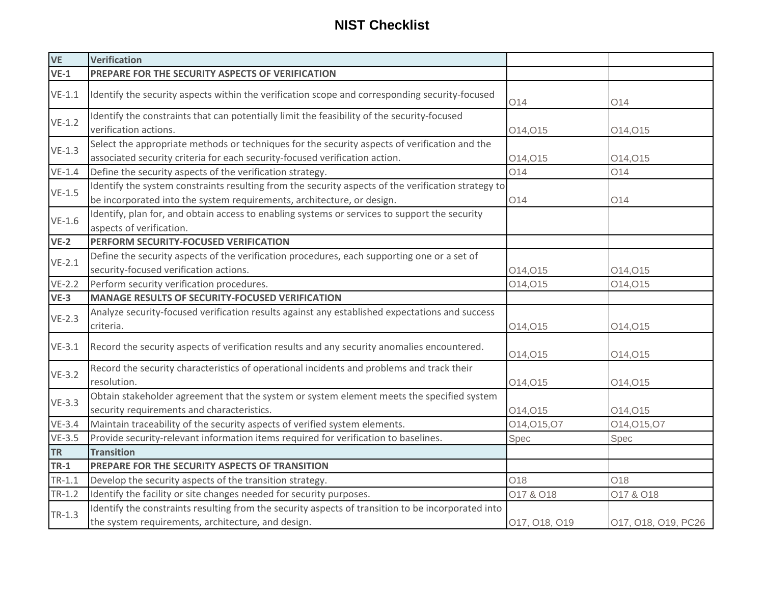| <b>VE</b> | <b>Verification</b>                                                                                                                                                           |               |                     |
|-----------|-------------------------------------------------------------------------------------------------------------------------------------------------------------------------------|---------------|---------------------|
| $VE-1$    | PREPARE FOR THE SECURITY ASPECTS OF VERIFICATION                                                                                                                              |               |                     |
| $VE-1.1$  | Identify the security aspects within the verification scope and corresponding security-focused                                                                                | O14           | O14                 |
| $VE-1.2$  | Identify the constraints that can potentially limit the feasibility of the security-focused<br>verification actions.                                                          | O14, O15      | O14, O15            |
| $VE-1.3$  | Select the appropriate methods or techniques for the security aspects of verification and the<br>associated security criteria for each security-focused verification action.  | O14, O15      | O14, O15            |
| $VE-1.4$  | Define the security aspects of the verification strategy.                                                                                                                     | O14           | O <sub>14</sub>     |
| $VE-1.5$  | Identify the system constraints resulting from the security aspects of the verification strategy to<br>be incorporated into the system requirements, architecture, or design. | O14           | O14                 |
| $VE-1.6$  | Identify, plan for, and obtain access to enabling systems or services to support the security<br>aspects of verification.                                                     |               |                     |
| $VE-2$    | PERFORM SECURITY-FOCUSED VERIFICATION                                                                                                                                         |               |                     |
| $VE-2.1$  | Define the security aspects of the verification procedures, each supporting one or a set of<br>security-focused verification actions.                                         | O14, O15      | O14, O15            |
| $VE-2.2$  | Perform security verification procedures.                                                                                                                                     | O14, O15      | O14, O15            |
| $VE-3$    | MANAGE RESULTS OF SECURITY-FOCUSED VERIFICATION                                                                                                                               |               |                     |
| $VE-2.3$  | Analyze security-focused verification results against any established expectations and success<br>criteria.                                                                   | O14, O15      | O14, O15            |
| $VE-3.1$  | Record the security aspects of verification results and any security anomalies encountered.                                                                                   | O14, O15      | O14, O15            |
| $VE-3.2$  | Record the security characteristics of operational incidents and problems and track their<br>resolution.                                                                      | O14, O15      | O14, O15            |
| $VE-3.3$  | Obtain stakeholder agreement that the system or system element meets the specified system<br>security requirements and characteristics.                                       | O14, O15      | O14, O15            |
| $VE-3.4$  | Maintain traceability of the security aspects of verified system elements.                                                                                                    | O14, O15, O7  | O14, O15, O7        |
| $VE-3.5$  | Provide security-relevant information items required for verification to baselines.                                                                                           | Spec          | Spec                |
| <b>TR</b> | <b>Transition</b>                                                                                                                                                             |               |                     |
| $TR-1$    | PREPARE FOR THE SECURITY ASPECTS OF TRANSITION                                                                                                                                |               |                     |
| $TR-1.1$  | Develop the security aspects of the transition strategy.                                                                                                                      | O18           | O <sub>18</sub>     |
| $TR-1.2$  | Identify the facility or site changes needed for security purposes.                                                                                                           | O17 & O18     | O17 & O18           |
| $TR-1.3$  | Identify the constraints resulting from the security aspects of transition to be incorporated into<br>the system requirements, architecture, and design.                      | 017, 018, 019 | O17, O18, O19, PC26 |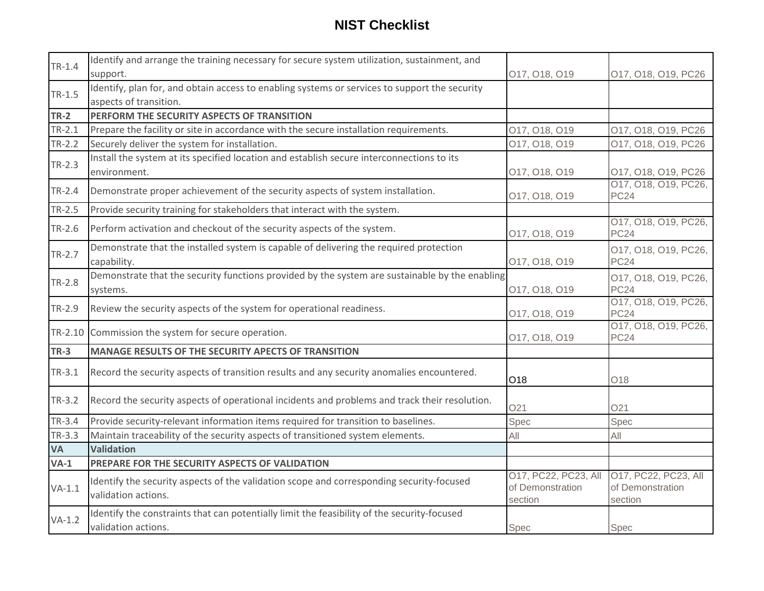| $TR-1.4$    | Identify and arrange the training necessary for secure system utilization, sustainment, and                        |                                                     |                                                     |
|-------------|--------------------------------------------------------------------------------------------------------------------|-----------------------------------------------------|-----------------------------------------------------|
|             | support.                                                                                                           | 017, 018, 019                                       | 017, 018, 019, PC26                                 |
| $TR-1.5$    | Identify, plan for, and obtain access to enabling systems or services to support the security                      |                                                     |                                                     |
|             | aspects of transition.                                                                                             |                                                     |                                                     |
| <b>TR-2</b> | PERFORM THE SECURITY ASPECTS OF TRANSITION                                                                         |                                                     |                                                     |
| $TR-2.1$    | Prepare the facility or site in accordance with the secure installation requirements.                              | 017, 018, 019                                       | 017, 018, 019, PC26                                 |
| $TR-2.2$    | Securely deliver the system for installation.                                                                      | 017, 018, 019                                       | 017, 018, 019, PC26                                 |
| TR-2.3      | Install the system at its specified location and establish secure interconnections to its<br>environment.          | O17, O18, O19                                       | 017, 018, 019, PC26                                 |
| TR-2.4      | Demonstrate proper achievement of the security aspects of system installation.                                     | 017, 018, 019                                       | O17, O18, O19, PC26,<br><b>PC24</b>                 |
| TR-2.5      | Provide security training for stakeholders that interact with the system.                                          |                                                     |                                                     |
| TR-2.6      | Perform activation and checkout of the security aspects of the system.                                             | 017, 018, 019                                       | 017, 018, 019, PC26,<br><b>PC24</b>                 |
| TR-2.7      | Demonstrate that the installed system is capable of delivering the required protection<br>capability.              | 017, 018, 019                                       | 017, 018, 019, PC26,<br><b>PC24</b>                 |
| TR-2.8      | Demonstrate that the security functions provided by the system are sustainable by the enabling<br>systems.         | 017, 018, 019                                       | 017, 018, 019, PC26,<br><b>PC24</b>                 |
| TR-2.9      | Review the security aspects of the system for operational readiness.                                               | 017, 018, 019                                       | 017, 018, 019, PC26,<br><b>PC24</b>                 |
| TR-2.10     | Commission the system for secure operation.                                                                        | 017, 018, 019                                       | 017, 018, 019, PC26,<br><b>PC24</b>                 |
| <b>TR-3</b> | MANAGE RESULTS OF THE SECURITY APECTS OF TRANSITION                                                                |                                                     |                                                     |
| TR-3.1      | Record the security aspects of transition results and any security anomalies encountered.                          | O18                                                 | O18                                                 |
| TR-3.2      | Record the security aspects of operational incidents and problems and track their resolution.                      | O21                                                 | O21                                                 |
| TR-3.4      | Provide security-relevant information items required for transition to baselines.                                  | Spec                                                | Spec                                                |
| TR-3.3      | Maintain traceability of the security aspects of transitioned system elements.                                     | All                                                 | All                                                 |
| <b>VA</b>   | <b>Validation</b>                                                                                                  |                                                     |                                                     |
| $VA-1$      | PREPARE FOR THE SECURITY ASPECTS OF VALIDATION                                                                     |                                                     |                                                     |
| $VA-1.1$    | Identify the security aspects of the validation scope and corresponding security-focused<br>validation actions.    | 017, PC22, PC23, All<br>of Demonstration<br>section | O17, PC22, PC23, All<br>of Demonstration<br>section |
| $VA-1.2$    | Identify the constraints that can potentially limit the feasibility of the security-focused<br>validation actions. | Spec                                                | Spec                                                |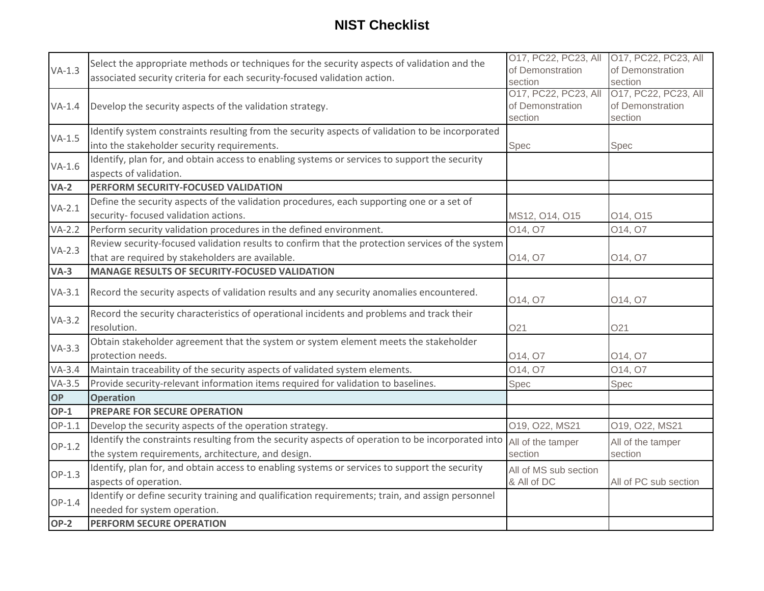| $VA-1.3$  | Select the appropriate methods or techniques for the security aspects of validation and the<br>associated security criteria for each security-focused validation action. | 017, PC22, PC23, All<br>of Demonstration<br>section | 017, PC22, PC23, All<br>of Demonstration<br>section |
|-----------|--------------------------------------------------------------------------------------------------------------------------------------------------------------------------|-----------------------------------------------------|-----------------------------------------------------|
| $VA-1.4$  | Develop the security aspects of the validation strategy.                                                                                                                 | O17, PC22, PC23, All<br>of Demonstration<br>section | O17, PC22, PC23, All<br>of Demonstration<br>section |
| $VA-1.5$  | Identify system constraints resulting from the security aspects of validation to be incorporated<br>into the stakeholder security requirements.                          | Spec                                                | Spec                                                |
| $VA-1.6$  | Identify, plan for, and obtain access to enabling systems or services to support the security<br>aspects of validation.                                                  |                                                     |                                                     |
| $VA-2$    | PERFORM SECURITY-FOCUSED VALIDATION                                                                                                                                      |                                                     |                                                     |
| $VA-2.1$  | Define the security aspects of the validation procedures, each supporting one or a set of<br>security- focused validation actions.                                       | MS12, O14, O15                                      | O14, O15                                            |
| $VA-2.2$  | Perform security validation procedures in the defined environment.                                                                                                       | O14, O7                                             | O14, O7                                             |
| $VA-2.3$  | Review security-focused validation results to confirm that the protection services of the system<br>that are required by stakeholders are available.                     | O14, O7                                             | O14, O7                                             |
| $VA-3$    | <b>MANAGE RESULTS OF SECURITY-FOCUSED VALIDATION</b>                                                                                                                     |                                                     |                                                     |
| $VA-3.1$  | Record the security aspects of validation results and any security anomalies encountered.                                                                                | O14, O7                                             | O14, O7                                             |
| $VA-3.2$  | Record the security characteristics of operational incidents and problems and track their<br>resolution.                                                                 | O21                                                 | O21                                                 |
| $VA-3.3$  | Obtain stakeholder agreement that the system or system element meets the stakeholder<br>protection needs.                                                                | O14, O7                                             | O14, O7                                             |
| $VA-3.4$  | Maintain traceability of the security aspects of validated system elements.                                                                                              | O14, O7                                             | O14, O7                                             |
| $VA-3.5$  | Provide security-relevant information items required for validation to baselines.                                                                                        | Spec                                                | Spec                                                |
| <b>OP</b> | <b>Operation</b>                                                                                                                                                         |                                                     |                                                     |
| $OP-1$    | PREPARE FOR SECURE OPERATION                                                                                                                                             |                                                     |                                                     |
| $OP-1.1$  | Develop the security aspects of the operation strategy.                                                                                                                  | O19, O22, MS21                                      | O19, O22, MS21                                      |
| $OP-1.2$  | Identify the constraints resulting from the security aspects of operation to be incorporated into<br>the system requirements, architecture, and design.                  | All of the tamper<br>section                        | All of the tamper<br>section                        |
| OP-1.3    | Identify, plan for, and obtain access to enabling systems or services to support the security<br>aspects of operation.                                                   | All of MS sub section<br>& All of DC                | All of PC sub section                               |
| $OP-1.4$  | Identify or define security training and qualification requirements; train, and assign personnel<br>needed for system operation.                                         |                                                     |                                                     |
| $OP-2$    | <b>PERFORM SECURE OPERATION</b>                                                                                                                                          |                                                     |                                                     |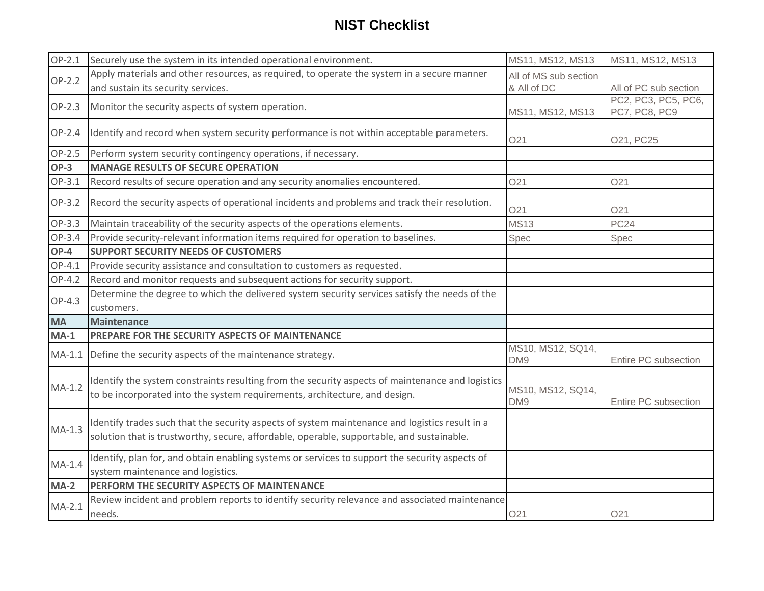| $OP-2.1$  | Securely use the system in its intended operational environment.                                                                                                                            | MS11, MS12, MS13                     | MS11, MS12, MS13                     |
|-----------|---------------------------------------------------------------------------------------------------------------------------------------------------------------------------------------------|--------------------------------------|--------------------------------------|
| OP-2.2    | Apply materials and other resources, as required, to operate the system in a secure manner<br>and sustain its security services.                                                            | All of MS sub section<br>& All of DC | All of PC sub section                |
| OP-2.3    | Monitor the security aspects of system operation.                                                                                                                                           | MS11, MS12, MS13                     | PC2, PC3, PC5, PC6,<br>PC7, PC8, PC9 |
| $OP-2.4$  | Identify and record when system security performance is not within acceptable parameters.                                                                                                   | O21                                  | O21, PC25                            |
| OP-2.5    | Perform system security contingency operations, if necessary.                                                                                                                               |                                      |                                      |
| $OP-3$    | <b>MANAGE RESULTS OF SECURE OPERATION</b>                                                                                                                                                   |                                      |                                      |
| OP-3.1    | Record results of secure operation and any security anomalies encountered.                                                                                                                  | O21                                  | O21                                  |
| OP-3.2    | Record the security aspects of operational incidents and problems and track their resolution.                                                                                               | O21                                  | O21                                  |
| OP-3.3    | Maintain traceability of the security aspects of the operations elements.                                                                                                                   | <b>MS13</b>                          | <b>PC24</b>                          |
| OP-3.4    | Provide security-relevant information items required for operation to baselines.                                                                                                            | Spec                                 | Spec                                 |
| $OP-4$    | <b>SUPPORT SECURITY NEEDS OF CUSTOMERS</b>                                                                                                                                                  |                                      |                                      |
| OP-4.1    | Provide security assistance and consultation to customers as requested.                                                                                                                     |                                      |                                      |
| OP-4.2    | Record and monitor requests and subsequent actions for security support.                                                                                                                    |                                      |                                      |
| OP-4.3    | Determine the degree to which the delivered system security services satisfy the needs of the<br>customers.                                                                                 |                                      |                                      |
| <b>MA</b> | <b>Maintenance</b>                                                                                                                                                                          |                                      |                                      |
| $MA-1$    | PREPARE FOR THE SECURITY ASPECTS OF MAINTENANCE                                                                                                                                             |                                      |                                      |
| $MA-1.1$  | Define the security aspects of the maintenance strategy.                                                                                                                                    | MS10, MS12, SQ14,<br>DM9             | Entire PC subsection                 |
| $MA-1.2$  | Identify the system constraints resulting from the security aspects of maintenance and logistics<br>to be incorporated into the system requirements, architecture, and design.              | MS10, MS12, SQ14,<br>DM9             | Entire PC subsection                 |
| $MA-1.3$  | Identify trades such that the security aspects of system maintenance and logistics result in a<br>solution that is trustworthy, secure, affordable, operable, supportable, and sustainable. |                                      |                                      |
| $MA-1.4$  | Identify, plan for, and obtain enabling systems or services to support the security aspects of<br>system maintenance and logistics.                                                         |                                      |                                      |
| $MA-2$    | PERFORM THE SECURITY ASPECTS OF MAINTENANCE                                                                                                                                                 |                                      |                                      |
| $MA-2.1$  | Review incident and problem reports to identify security relevance and associated maintenance<br>needs.                                                                                     | O21                                  | O21                                  |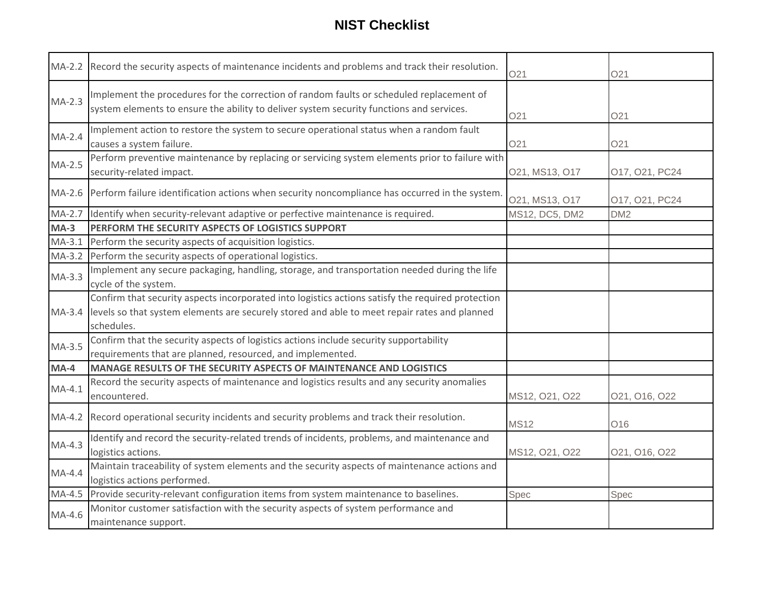| $MA-2.2$ | Record the security aspects of maintenance incidents and problems and track their resolution.                                                                                        | O21            | O21             |
|----------|--------------------------------------------------------------------------------------------------------------------------------------------------------------------------------------|----------------|-----------------|
| $MA-2.3$ | Implement the procedures for the correction of random faults or scheduled replacement of<br>system elements to ensure the ability to deliver system security functions and services. | O21            | O21             |
| $MA-2.4$ | Implement action to restore the system to secure operational status when a random fault<br>causes a system failure.                                                                  | O21            | O21             |
| $MA-2.5$ | Perform preventive maintenance by replacing or servicing system elements prior to failure with<br>security-related impact.                                                           | O21, MS13, O17 | 017, 021, PC24  |
| $MA-2.6$ | Perform failure identification actions when security noncompliance has occurred in the system.                                                                                       | O21, MS13, O17 | 017, 021, PC24  |
| MA-2.7   | Identify when security-relevant adaptive or perfective maintenance is required.                                                                                                      | MS12, DC5, DM2 | DM <sub>2</sub> |
| $MA-3$   | PERFORM THE SECURITY ASPECTS OF LOGISTICS SUPPORT                                                                                                                                    |                |                 |
| $MA-3.1$ | Perform the security aspects of acquisition logistics.                                                                                                                               |                |                 |
| $MA-3.2$ | Perform the security aspects of operational logistics.                                                                                                                               |                |                 |
| MA-3.3   | Implement any secure packaging, handling, storage, and transportation needed during the life<br>cycle of the system.                                                                 |                |                 |
|          | Confirm that security aspects incorporated into logistics actions satisfy the required protection                                                                                    |                |                 |
| $MA-3.4$ | levels so that system elements are securely stored and able to meet repair rates and planned<br>schedules.                                                                           |                |                 |
| $MA-3.5$ | Confirm that the security aspects of logistics actions include security supportability<br>requirements that are planned, resourced, and implemented.                                 |                |                 |
| $MA-4$   | MANAGE RESULTS OF THE SECURITY ASPECTS OF MAINTENANCE AND LOGISTICS                                                                                                                  |                |                 |
| $MA-4.1$ | Record the security aspects of maintenance and logistics results and any security anomalies<br>encountered.                                                                          | MS12, O21, O22 | 021, 016, 022   |
| MA-4.2   | Record operational security incidents and security problems and track their resolution.                                                                                              | <b>MS12</b>    | O16             |
| $MA-4.3$ | Identify and record the security-related trends of incidents, problems, and maintenance and<br>logistics actions.                                                                    | MS12, O21, O22 | 021, 016, 022   |
| $MA-4.4$ | Maintain traceability of system elements and the security aspects of maintenance actions and<br>logistics actions performed.                                                         |                |                 |
| MA-4.5   | Provide security-relevant configuration items from system maintenance to baselines.                                                                                                  | Spec           | Spec            |
| MA-4.6   | Monitor customer satisfaction with the security aspects of system performance and<br>maintenance support.                                                                            |                |                 |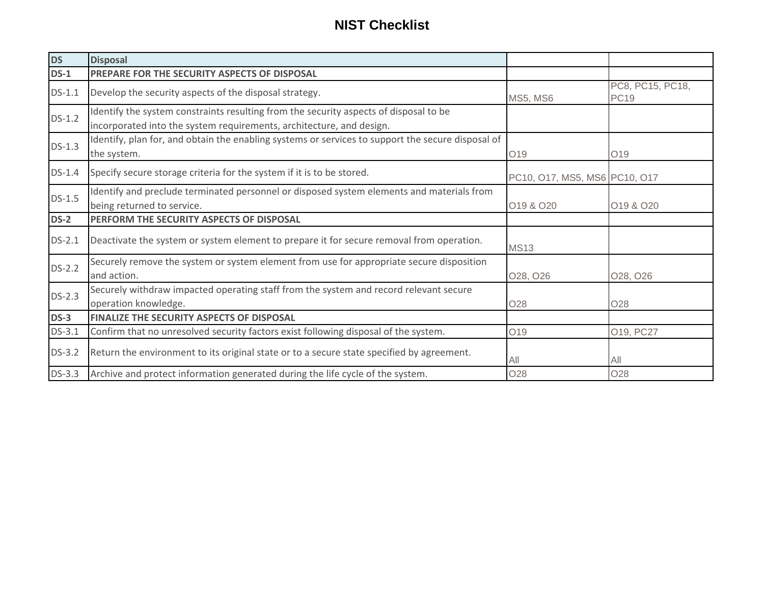| <b>DS</b>     | <b>Disposal</b>                                                                                                                                               |                               |                                 |
|---------------|---------------------------------------------------------------------------------------------------------------------------------------------------------------|-------------------------------|---------------------------------|
| $DS-1$        | PREPARE FOR THE SECURITY ASPECTS OF DISPOSAL                                                                                                                  |                               |                                 |
| $DS-1.1$      | Develop the security aspects of the disposal strategy.                                                                                                        | <b>MS5, MS6</b>               | PC8, PC15, PC18,<br><b>PC19</b> |
| $DS-1.2$      | Identify the system constraints resulting from the security aspects of disposal to be<br>incorporated into the system requirements, architecture, and design. |                               |                                 |
| $DS-1.3$      | Identify, plan for, and obtain the enabling systems or services to support the secure disposal of<br>the system.                                              | O <sub>19</sub>               | O <sub>19</sub>                 |
| $DS-1.4$      | Specify secure storage criteria for the system if it is to be stored.                                                                                         | PC10, O17, MS5, MS6 PC10, O17 |                                 |
| $DS-1.5$      | Identify and preclude terminated personnel or disposed system elements and materials from<br>being returned to service.                                       | O19 & O20                     | O19 & O20                       |
| <b>DS-2</b>   | PERFORM THE SECURITY ASPECTS OF DISPOSAL                                                                                                                      |                               |                                 |
| $DS-2.1$      | Deactivate the system or system element to prepare it for secure removal from operation.                                                                      | <b>MS13</b>                   |                                 |
| $DS-2.2$      | Securely remove the system or system element from use for appropriate secure disposition<br>and action.                                                       | O28, O26                      | O28, O26                        |
| $DS-2.3$      | Securely withdraw impacted operating staff from the system and record relevant secure<br>operation knowledge.                                                 | O <sub>28</sub>               | O <sub>28</sub>                 |
| <b>DS-3</b>   | <b>FINALIZE THE SECURITY ASPECTS OF DISPOSAL</b>                                                                                                              |                               |                                 |
| DS-3.1        | Confirm that no unresolved security factors exist following disposal of the system.                                                                           | O19                           | O19, PC27                       |
| <b>DS-3.2</b> | Return the environment to its original state or to a secure state specified by agreement.                                                                     | All                           | All                             |
| DS-3.3        | Archive and protect information generated during the life cycle of the system.                                                                                | O28                           | O28                             |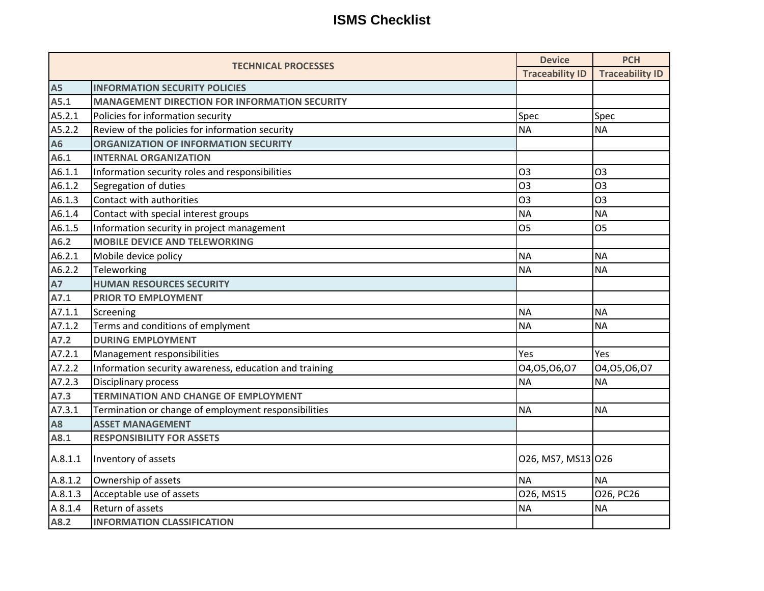| <b>TECHNICAL PROCESSES</b> |                                                        | <b>Device</b>      | <b>PCH</b>             |
|----------------------------|--------------------------------------------------------|--------------------|------------------------|
|                            |                                                        |                    | <b>Traceability ID</b> |
| <b>A5</b>                  | <b>INFORMATION SECURITY POLICIES</b>                   |                    |                        |
| A5.1                       | <b>MANAGEMENT DIRECTION FOR INFORMATION SECURITY</b>   |                    |                        |
| A5.2.1                     | Policies for information security                      | Spec               | Spec                   |
| A5.2.2                     | Review of the policies for information security        | <b>NA</b>          | <b>NA</b>              |
| A6                         | <b>ORGANIZATION OF INFORMATION SECURITY</b>            |                    |                        |
| A6.1                       | <b>INTERNAL ORGANIZATION</b>                           |                    |                        |
| A6.1.1                     | Information security roles and responsibilities        | O <sub>3</sub>     | O <sub>3</sub>         |
| A6.1.2                     | Segregation of duties                                  | O <sub>3</sub>     | O <sub>3</sub>         |
| A6.1.3                     | Contact with authorities                               | O <sub>3</sub>     | O <sub>3</sub>         |
| A6.1.4                     | Contact with special interest groups                   | <b>NA</b>          | <b>NA</b>              |
| A6.1.5                     | Information security in project management             | O <sub>5</sub>     | O <sub>5</sub>         |
| A6.2                       | <b>MOBILE DEVICE AND TELEWORKING</b>                   |                    |                        |
| A6.2.1                     | Mobile device policy                                   | <b>NA</b>          | <b>NA</b>              |
| A6.2.2                     | Teleworking                                            | <b>NA</b>          | <b>NA</b>              |
| <b>A7</b>                  | <b>HUMAN RESOURCES SECURITY</b>                        |                    |                        |
| A7.1                       | PRIOR TO EMPLOYMENT                                    |                    |                        |
| A7.1.1                     | Screening                                              | <b>NA</b>          | <b>NA</b>              |
| A7.1.2                     | Terms and conditions of emplyment                      | <b>NA</b>          | <b>NA</b>              |
| A7.2                       | <b>DURING EMPLOYMENT</b>                               |                    |                        |
| A7.2.1                     | Management responsibilities                            | Yes                | Yes                    |
| A7.2.2                     | Information security awareness, education and training | 04,05,06,07        | 04,05,06,07            |
| A7.2.3                     | <b>Disciplinary process</b>                            | <b>NA</b>          | <b>NA</b>              |
| A7.3                       | <b>TERMINATION AND CHANGE OF EMPLOYMENT</b>            |                    |                        |
| A7.3.1                     | Termination or change of employment responsibilities   | <b>NA</b>          | <b>NA</b>              |
| A8                         | <b>ASSET MANAGEMENT</b>                                |                    |                        |
| A8.1                       | <b>RESPONSIBILITY FOR ASSETS</b>                       |                    |                        |
| A.8.1.1                    | Inventory of assets                                    | 026, MS7, MS13 026 |                        |
| A.8.1.2                    | Ownership of assets                                    | <b>NA</b>          | <b>NA</b>              |
| A.8.1.3                    | Acceptable use of assets                               | 026, MS15          | O26, PC26              |
| A 8.1.4                    | <b>Return of assets</b>                                | <b>NA</b>          | <b>NA</b>              |
| A8.2                       | <b>INFORMATION CLASSIFICATION</b>                      |                    |                        |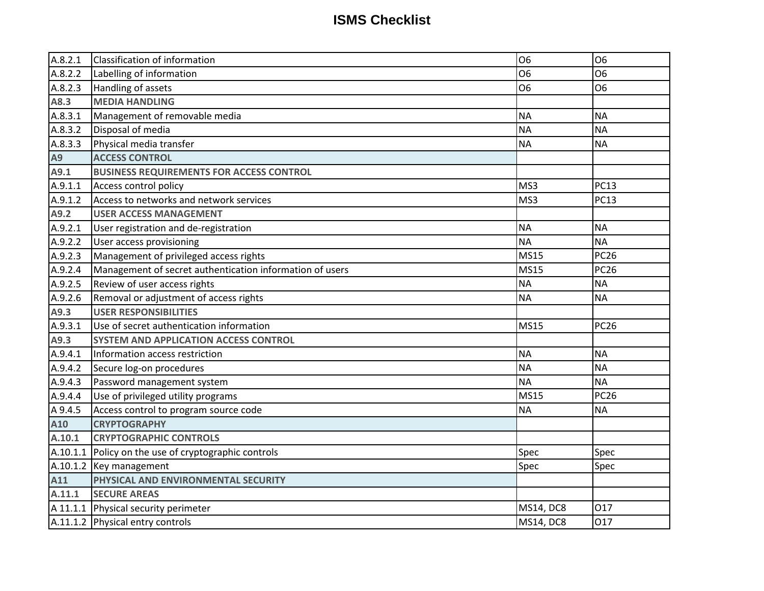| A.8.2.1 | Classification of information                            | O6               | O <sub>6</sub> |
|---------|----------------------------------------------------------|------------------|----------------|
| A.8.2.2 | Labelling of information                                 | O <sub>6</sub>   | O <sub>6</sub> |
| A.8.2.3 | Handling of assets                                       | O <sub>6</sub>   | O <sub>6</sub> |
| A8.3    | <b>MEDIA HANDLING</b>                                    |                  |                |
| A.8.3.1 | Management of removable media                            | <b>NA</b>        | <b>NA</b>      |
| A.8.3.2 | Disposal of media                                        | <b>NA</b>        | <b>NA</b>      |
| A.8.3.3 | Physical media transfer                                  | <b>NA</b>        | <b>NA</b>      |
| A9      | <b>ACCESS CONTROL</b>                                    |                  |                |
| A9.1    | <b>BUSINESS REQUIREMENTS FOR ACCESS CONTROL</b>          |                  |                |
| A.9.1.1 | Access control policy                                    | MS3              | <b>PC13</b>    |
| A.9.1.2 | Access to networks and network services                  | MS3              | <b>PC13</b>    |
| A9.2    | <b>USER ACCESS MANAGEMENT</b>                            |                  |                |
| A.9.2.1 | User registration and de-registration                    | <b>NA</b>        | <b>NA</b>      |
| A.9.2.2 | User access provisioning                                 | <b>NA</b>        | <b>NA</b>      |
| A.9.2.3 | Management of privileged access rights                   | <b>MS15</b>      | <b>PC26</b>    |
| A.9.2.4 | Management of secret authentication information of users | <b>MS15</b>      | <b>PC26</b>    |
| A.9.2.5 | Review of user access rights                             | <b>NA</b>        | <b>NA</b>      |
| A.9.2.6 | Removal or adjustment of access rights                   | <b>NA</b>        | <b>NA</b>      |
| A9.3    | <b>USER RESPONSIBILITIES</b>                             |                  |                |
| A.9.3.1 | Use of secret authentication information                 | <b>MS15</b>      | <b>PC26</b>    |
| A9.3    | <b>SYSTEM AND APPLICATION ACCESS CONTROL</b>             |                  |                |
| A.9.4.1 | Information access restriction                           | <b>NA</b>        | <b>NA</b>      |
| A.9.4.2 | Secure log-on procedures                                 | <b>NA</b>        | <b>NA</b>      |
| A.9.4.3 | Password management system                               | <b>NA</b>        | <b>NA</b>      |
| A.9.4.4 | Use of privileged utility programs                       | <b>MS15</b>      | <b>PC26</b>    |
| A 9.4.5 | Access control to program source code                    | <b>NA</b>        | <b>NA</b>      |
| A10     | <b>CRYPTOGRAPHY</b>                                      |                  |                |
| A.10.1  | <b>CRYPTOGRAPHIC CONTROLS</b>                            |                  |                |
|         | A.10.1.1 Policy on the use of cryptographic controls     | Spec             | Spec           |
|         | A.10.1.2 Key management                                  | Spec             | Spec           |
| A11     | PHYSICAL AND ENVIRONMENTAL SECURITY                      |                  |                |
| A.11.1  | <b>SECURE AREAS</b>                                      |                  |                |
|         | A 11.1.1 Physical security perimeter                     | <b>MS14, DC8</b> | 017            |
|         | A.11.1.2 Physical entry controls                         | <b>MS14, DC8</b> | 017            |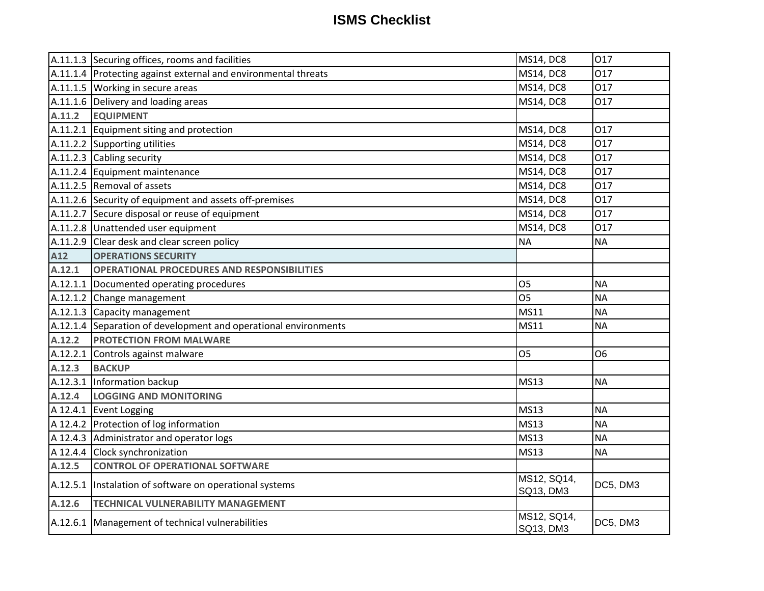|                     | A.11.1.3 Securing offices, rooms and facilities                 | <b>MS14, DC8</b>         | 017       |
|---------------------|-----------------------------------------------------------------|--------------------------|-----------|
|                     | A.11.1.4 Protecting against external and environmental threats  | <b>MS14, DC8</b>         | 017       |
|                     | A.11.1.5 Working in secure areas                                | <b>MS14, DC8</b>         | 017       |
|                     | A.11.1.6 Delivery and loading areas                             | <b>MS14, DC8</b>         | 017       |
| A.11.2              | <b>EQUIPMENT</b>                                                |                          |           |
|                     | A.11.2.1 Equipment siting and protection                        | <b>MS14, DC8</b>         | 017       |
|                     | A.11.2.2 Supporting utilities                                   | <b>MS14, DC8</b>         | 017       |
|                     | A.11.2.3 Cabling security                                       | <b>MS14, DC8</b>         | 017       |
|                     | A.11.2.4 Equipment maintenance                                  | <b>MS14, DC8</b>         | 017       |
|                     | A.11.2.5 Removal of assets                                      | <b>MS14, DC8</b>         | 017       |
|                     | A.11.2.6 Security of equipment and assets off-premises          | <b>MS14, DC8</b>         | 017       |
|                     | A.11.2.7 Secure disposal or reuse of equipment                  | <b>MS14, DC8</b>         | 017       |
|                     | A.11.2.8 Unattended user equipment                              | <b>MS14, DC8</b>         | 017       |
|                     | A.11.2.9 Clear desk and clear screen policy                     | <b>NA</b>                | <b>NA</b> |
| A12                 | <b>OPERATIONS SECURITY</b>                                      |                          |           |
| A.12.1              | <b>OPERATIONAL PROCEDURES AND RESPONSIBILITIES</b>              |                          |           |
|                     | A.12.1.1 Documented operating procedures                        | O <sub>5</sub>           | <b>NA</b> |
|                     | A.12.1.2 Change management                                      | O <sub>5</sub>           | <b>NA</b> |
|                     | A.12.1.3 Capacity management                                    | <b>MS11</b>              | <b>NA</b> |
|                     | A.12.1.4 Separation of development and operational environments | <b>MS11</b>              | <b>NA</b> |
| A.12.2              | <b>PROTECTION FROM MALWARE</b>                                  |                          |           |
|                     | A.12.2.1 Controls against malware                               | O <sub>5</sub>           | <b>O6</b> |
| A.12.3              | <b>BACKUP</b>                                                   |                          |           |
|                     | A.12.3.1 Information backup                                     | <b>MS13</b>              | <b>NA</b> |
| A.12.4              | <b>LOGGING AND MONITORING</b>                                   |                          |           |
|                     | A 12.4.1 Event Logging                                          | <b>MS13</b>              | <b>NA</b> |
|                     | A 12.4.2 Protection of log information                          | <b>MS13</b>              | <b>NA</b> |
|                     | A 12.4.3 Administrator and operator logs                        | <b>MS13</b>              | <b>NA</b> |
|                     | A 12.4.4 Clock synchronization                                  | <b>MS13</b>              | <b>NA</b> |
| A.12.5              | <b>CONTROL OF OPERATIONAL SOFTWARE</b>                          |                          |           |
|                     | A.12.5.1 Instalation of software on operational systems         | MS12, SQ14,<br>SQ13, DM3 | DC5, DM3  |
| $\overline{A}.12.6$ | <b>TECHNICAL VULNERABILITY MANAGEMENT</b>                       |                          |           |
|                     | A.12.6.1 Management of technical vulnerabilities                | MS12, SQ14,<br>SQ13, DM3 | DC5, DM3  |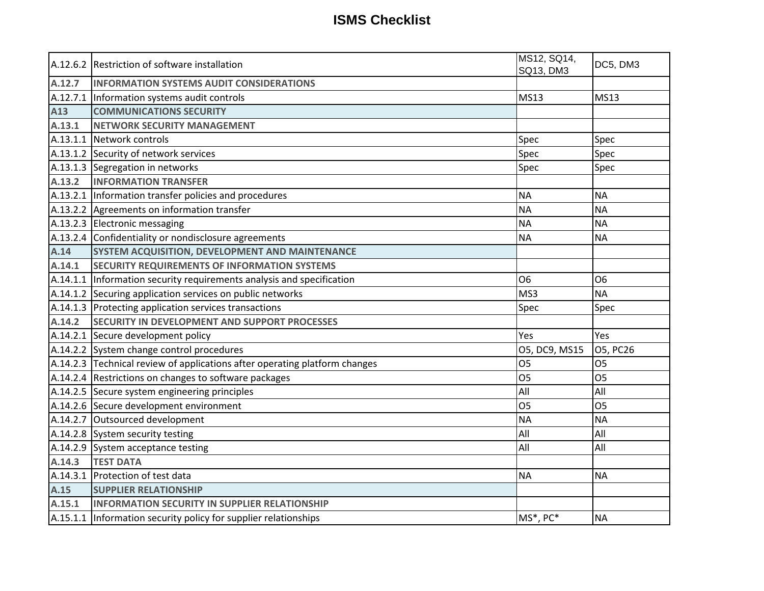|        | A.12.6.2 Restriction of software installation                              | MS12, SQ14,<br>SQ13, DM3 | DC5, DM3       |
|--------|----------------------------------------------------------------------------|--------------------------|----------------|
| A.12.7 | <b>INFORMATION SYSTEMS AUDIT CONSIDERATIONS</b>                            |                          |                |
|        | A.12.7.1 Information systems audit controls                                | <b>MS13</b>              | <b>MS13</b>    |
| A13    | <b>COMMUNICATIONS SECURITY</b>                                             |                          |                |
| A.13.1 | <b>NETWORK SECURITY MANAGEMENT</b>                                         |                          |                |
|        | A.13.1.1 Network controls                                                  | Spec                     | Spec           |
|        | A.13.1.2 Security of network services                                      | Spec                     | Spec           |
|        | A.13.1.3 Segregation in networks                                           | Spec                     | Spec           |
| A.13.2 | <b>INFORMATION TRANSFER</b>                                                |                          |                |
|        | A.13.2.1 Information transfer policies and procedures                      | <b>NA</b>                | <b>NA</b>      |
|        | A.13.2.2 Agreements on information transfer                                | <b>NA</b>                | <b>NA</b>      |
|        | A.13.2.3 Electronic messaging                                              | <b>NA</b>                | <b>NA</b>      |
|        | A.13.2.4 Confidentiality or nondisclosure agreements                       | <b>NA</b>                | <b>NA</b>      |
| A.14   | SYSTEM ACQUISITION, DEVELOPMENT AND MAINTENANCE                            |                          |                |
| A.14.1 | <b>SECURITY REQUIREMENTS OF INFORMATION SYSTEMS</b>                        |                          |                |
|        | A.14.1.1 Information security requirements analysis and specification      | O <sub>6</sub>           | O <sub>6</sub> |
|        | A.14.1.2 Securing application services on public networks                  | MS3                      | <b>NA</b>      |
|        | A.14.1.3 Protecting application services transactions                      | Spec                     | Spec           |
| A.14.2 | <b>SECURITY IN DEVELOPMENT AND SUPPORT PROCESSES</b>                       |                          |                |
|        | A.14.2.1 Secure development policy                                         | Yes                      | Yes            |
|        | A.14.2.2 System change control procedures                                  | 05, DC9, MS15            | O5, PC26       |
|        | A.14.2.3 Technical review of applications after operating platform changes | O <sub>5</sub>           | O <sub>5</sub> |
|        | A.14.2.4 Restrictions on changes to software packages                      | O <sub>5</sub>           | O <sub>5</sub> |
|        | A.14.2.5 Secure system engineering principles                              | All                      | All            |
|        | A.14.2.6 Secure development environment                                    | O <sub>5</sub>           | O <sub>5</sub> |
|        | A.14.2.7 Outsourced development                                            | <b>NA</b>                | <b>NA</b>      |
|        | A.14.2.8 System security testing                                           | All                      | All            |
|        | A.14.2.9 System acceptance testing                                         | All                      | All            |
| A.14.3 | <b>TEST DATA</b>                                                           |                          |                |
|        | A.14.3.1 Protection of test data                                           | <b>NA</b>                | <b>NA</b>      |
| A.15   | <b>SUPPLIER RELATIONSHIP</b>                                               |                          |                |
| A.15.1 | <b>INFORMATION SECURITY IN SUPPLIER RELATIONSHIP</b>                       |                          |                |
|        | A.15.1.1 Information security policy for supplier relationships            | MS*, PC*                 | <b>NA</b>      |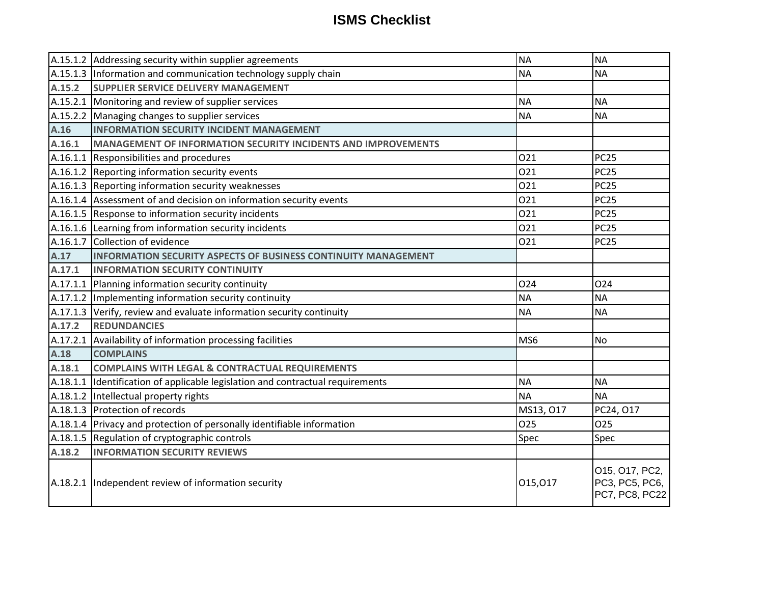|        | A.15.1.2 Addressing security within supplier agreements                        | <b>NA</b>       | <b>NA</b>                                          |
|--------|--------------------------------------------------------------------------------|-----------------|----------------------------------------------------|
|        | A.15.1.3 Information and communication technology supply chain                 | <b>NA</b>       | <b>NA</b>                                          |
| A.15.2 | <b>SUPPLIER SERVICE DELIVERY MANAGEMENT</b>                                    |                 |                                                    |
|        | A.15.2.1 Monitoring and review of supplier services                            | <b>NA</b>       | <b>NA</b>                                          |
|        | A.15.2.2 Managing changes to supplier services                                 | <b>NA</b>       | <b>NA</b>                                          |
| A.16   | <b>INFORMATION SECURITY INCIDENT MANAGEMENT</b>                                |                 |                                                    |
| A.16.1 | MANAGEMENT OF INFORMATION SECURITY INCIDENTS AND IMPROVEMENTS                  |                 |                                                    |
|        | A.16.1.1 Responsibilities and procedures                                       | 021             | <b>PC25</b>                                        |
|        | A.16.1.2 Reporting information security events                                 | O21             | <b>PC25</b>                                        |
|        | A.16.1.3 Reporting information security weaknesses                             | 021             | <b>PC25</b>                                        |
|        | A.16.1.4 Assessment of and decision on information security events             | 021             | <b>PC25</b>                                        |
|        | A.16.1.5 Response to information security incidents                            | O21             | <b>PC25</b>                                        |
|        | A.16.1.6 Learning from information security incidents                          | O21             | <b>PC25</b>                                        |
|        | A.16.1.7 Collection of evidence                                                | 021             | <b>PC25</b>                                        |
| A.17   | INFORMATION SECURITY ASPECTS OF BUSINESS CONTINUITY MANAGEMENT                 |                 |                                                    |
| A.17.1 | <b>INFORMATION SECURITY CONTINUITY</b>                                         |                 |                                                    |
|        | A.17.1.1 Planning information security continuity                              | 024             | 024                                                |
|        | A.17.1.2   Implementing information security continuity                        | <b>NA</b>       | <b>NA</b>                                          |
|        | A.17.1.3 Verify, review and evaluate information security continuity           | <b>NA</b>       | <b>NA</b>                                          |
| A.17.2 | <b>REDUNDANCIES</b>                                                            |                 |                                                    |
|        | A.17.2.1 Availability of information processing facilities                     | MS6             | <b>No</b>                                          |
| A.18   | <b>COMPLAINS</b>                                                               |                 |                                                    |
| A.18.1 | <b>COMPLAINS WITH LEGAL &amp; CONTRACTUAL REQUIREMENTS</b>                     |                 |                                                    |
|        | A.18.1.1 Identification of applicable legislation and contractual requirements | <b>NA</b>       | <b>NA</b>                                          |
|        | A.18.1.2  Intellectual property rights                                         | <b>NA</b>       | <b>NA</b>                                          |
|        | A.18.1.3 Protection of records                                                 | MS13, 017       | PC24, O17                                          |
|        | A.18.1.4 Privacy and protection of personally identifiable information         | O <sub>25</sub> | 025                                                |
|        | A.18.1.5 Regulation of cryptographic controls                                  | Spec            | Spec                                               |
| A.18.2 | <b>INFORMATION SECURITY REVIEWS</b>                                            |                 |                                                    |
|        | A.18.2.1 Independent review of information security                            | 015,017         | 015, 017, PC2,<br>PC3, PC5, PC6,<br>PC7, PC8, PC22 |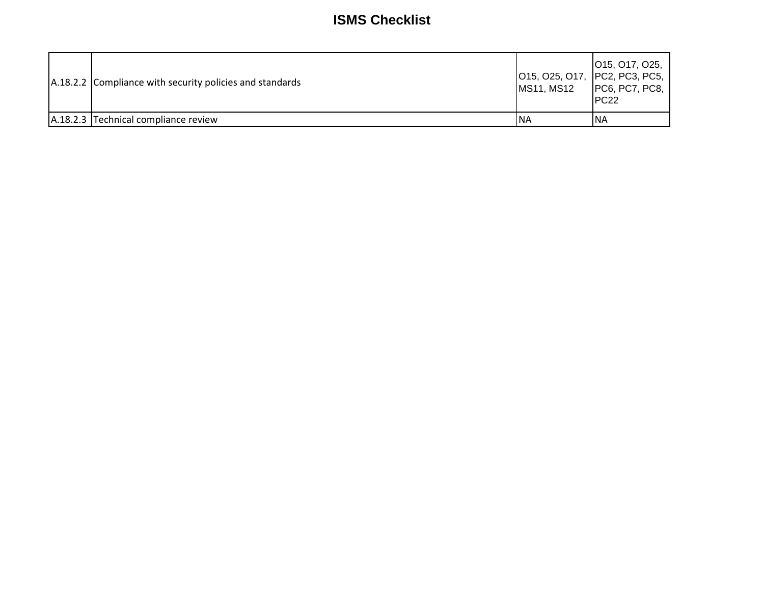| A.18.2.2 Compliance with security policies and standards | <b>MS11, MS12</b> | 015, 017, 025,<br>015, 025, 017, PC2, PC3, PC5,<br>PC6, PC7, PC8,<br><b>PC22</b> |
|----------------------------------------------------------|-------------------|----------------------------------------------------------------------------------|
| A.18.2.3 Technical compliance review                     | <b>INA</b>        | INA.                                                                             |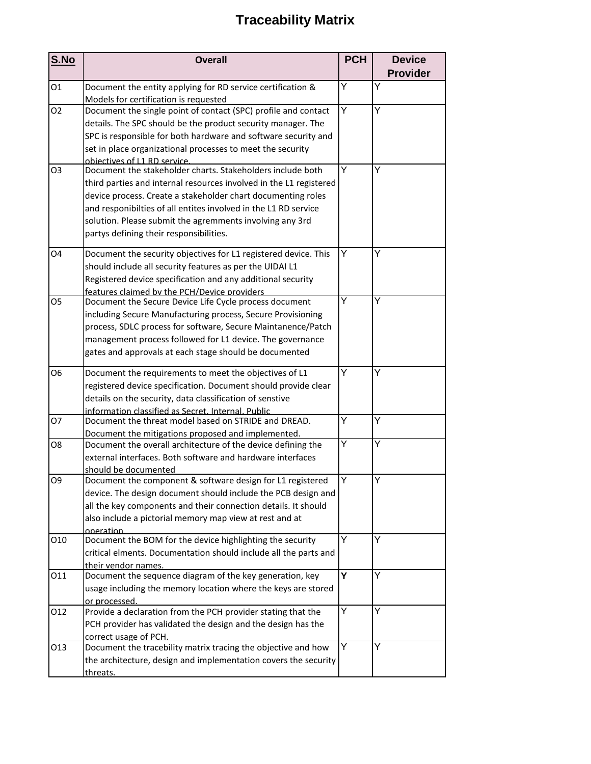| <b>S.No</b>    | <b>Overall</b>                                                     | <b>PCH</b> | <b>Device</b>   |
|----------------|--------------------------------------------------------------------|------------|-----------------|
|                |                                                                    |            | <b>Provider</b> |
| 01             | Document the entity applying for RD service certification &        | Υ          | Y               |
|                | Models for certification is requested                              |            |                 |
| O <sub>2</sub> | Document the single point of contact (SPC) profile and contact     | Y          | Y               |
|                | details. The SPC should be the product security manager. The       |            |                 |
|                | SPC is responsible for both hardware and software security and     |            |                 |
|                | set in place organizational processes to meet the security         |            |                 |
|                | objectives of L1 RD service.                                       |            |                 |
| O3             | Document the stakeholder charts. Stakeholders include both         | Y          | Υ               |
|                | third parties and internal resources involved in the L1 registered |            |                 |
|                | device process. Create a stakeholder chart documenting roles       |            |                 |
|                | and responibilties of all entites involved in the L1 RD service    |            |                 |
|                | solution. Please submit the agremments involving any 3rd           |            |                 |
|                | partys defining their responsibilities.                            |            |                 |
| O <sub>4</sub> | Document the security objectives for L1 registered device. This    | Υ          | Y               |
|                | should include all security features as per the UIDAI L1           |            |                 |
|                | Registered device specification and any additional security        |            |                 |
|                | features claimed by the PCH/Device providers                       |            |                 |
| O5             | Document the Secure Device Life Cycle process document             | Ÿ          | Υ               |
|                | including Secure Manufacturing process, Secure Provisioning        |            |                 |
|                | process, SDLC process for software, Secure Maintanence/Patch       |            |                 |
|                | management process followed for L1 device. The governance          |            |                 |
|                | gates and approvals at each stage should be documented             |            |                 |
| О6             | Document the requirements to meet the objectives of L1             | Y          | Y               |
|                | registered device specification. Document should provide clear     |            |                 |
|                | details on the security, data classification of senstive           |            |                 |
|                | information classified as Secret. Internal. Public                 |            |                 |
| 07             | Document the threat model based on STRIDE and DREAD.               | Y          | Y               |
|                | Document the mitigations proposed and implemented.                 |            |                 |
| O8             | Document the overall architecture of the device defining the       | Y          | Ÿ               |
|                | external interfaces. Both software and hardware interfaces         |            |                 |
|                | should be documented                                               |            |                 |
| O9             | Document the component & software design for L1 registered         | Y          | Y               |
|                | device. The design document should include the PCB design and      |            |                 |
|                | all the key components and their connection details. It should     |            |                 |
|                | also include a pictorial memory map view at rest and at            |            |                 |
|                | operation.                                                         |            |                 |
| 010            | Document the BOM for the device highlighting the security          | Y          | Υ               |
|                | critical elments. Documentation should include all the parts and   |            |                 |
|                | their vendor names.                                                |            |                 |
| 011            | Document the sequence diagram of the key generation, key           | Y          | Υ               |
|                | usage including the memory location where the keys are stored      |            |                 |
|                | or processed.                                                      |            |                 |
| 012            | Provide a declaration from the PCH provider stating that the       | Υ          | Y               |
|                | PCH provider has validated the design and the design has the       |            |                 |
|                | correct usage of PCH.                                              |            |                 |
| 013            | Document the tracebility matrix tracing the objective and how      | Υ          | Y               |
|                | the architecture, design and implementation covers the security    |            |                 |
|                | threats.                                                           |            |                 |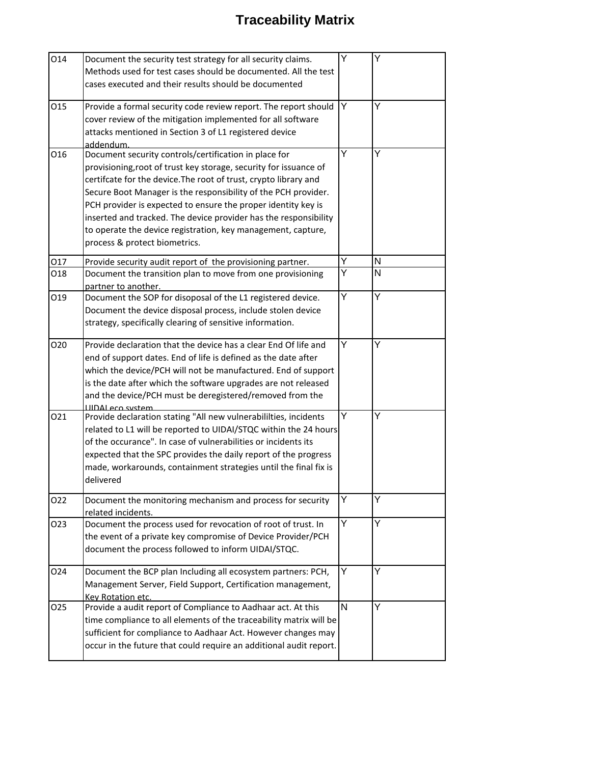| 014             | Document the security test strategy for all security claims.<br>Methods used for test cases should be documented. All the test<br>cases executed and their results should be documented                                                                                                                                                                                                                                                                                                                | Υ                       | Υ                       |
|-----------------|--------------------------------------------------------------------------------------------------------------------------------------------------------------------------------------------------------------------------------------------------------------------------------------------------------------------------------------------------------------------------------------------------------------------------------------------------------------------------------------------------------|-------------------------|-------------------------|
| 015             | Provide a formal security code review report. The report should<br>cover review of the mitigation implemented for all software<br>attacks mentioned in Section 3 of L1 registered device<br>addendum.                                                                                                                                                                                                                                                                                                  | Y                       | Y                       |
| 016             | Document security controls/certification in place for<br>provisioning, root of trust key storage, security for issuance of<br>certifcate for the device. The root of trust, crypto library and<br>Secure Boot Manager is the responsibility of the PCH provider.<br>PCH provider is expected to ensure the proper identity key is<br>inserted and tracked. The device provider has the responsibility<br>to operate the device registration, key management, capture,<br>process & protect biometrics. | Ÿ                       | Ý                       |
| 017             | Provide security audit report of the provisioning partner.                                                                                                                                                                                                                                                                                                                                                                                                                                             | Υ                       | N                       |
| 018             | Document the transition plan to move from one provisioning<br>partner to another.                                                                                                                                                                                                                                                                                                                                                                                                                      | $\overline{\mathsf{Y}}$ | $\overline{\mathsf{N}}$ |
| 019             | Document the SOP for disoposal of the L1 registered device.<br>Document the device disposal process, include stolen device<br>strategy, specifically clearing of sensitive information.                                                                                                                                                                                                                                                                                                                | Y                       | Y                       |
| 020             | Provide declaration that the device has a clear End Of life and<br>end of support dates. End of life is defined as the date after<br>which the device/PCH will not be manufactured. End of support<br>is the date after which the software upgrades are not released<br>and the device/PCH must be deregistered/removed from the<br><b>I IIDAI ero system</b>                                                                                                                                          | Y                       | Ÿ                       |
| 021             | Provide declaration stating "All new vulnerabililties, incidents<br>related to L1 will be reported to UIDAI/STQC within the 24 hours<br>of the occurance". In case of vulnerabilities or incidents its<br>expected that the SPC provides the daily report of the progress<br>made, workarounds, containment strategies until the final fix is<br>delivered                                                                                                                                             | Ÿ                       | Υ                       |
| 022             | Document the monitoring mechanism and process for security<br>related incidents.                                                                                                                                                                                                                                                                                                                                                                                                                       | Y                       | Y                       |
| 023             | Document the process used for revocation of root of trust. In<br>the event of a private key compromise of Device Provider/PCH<br>document the process followed to inform UIDAI/STQC.                                                                                                                                                                                                                                                                                                                   | Y                       | Ÿ                       |
| O <sub>24</sub> | Document the BCP plan Including all ecosystem partners: PCH,<br>Management Server, Field Support, Certification management,<br>Key Rotation etc.                                                                                                                                                                                                                                                                                                                                                       | Υ                       | Ÿ                       |
| 025             | Provide a audit report of Compliance to Aadhaar act. At this<br>time compliance to all elements of the traceability matrix will be<br>sufficient for compliance to Aadhaar Act. However changes may<br>occur in the future that could require an additional audit report.                                                                                                                                                                                                                              | $\mathsf{N}$            | Y                       |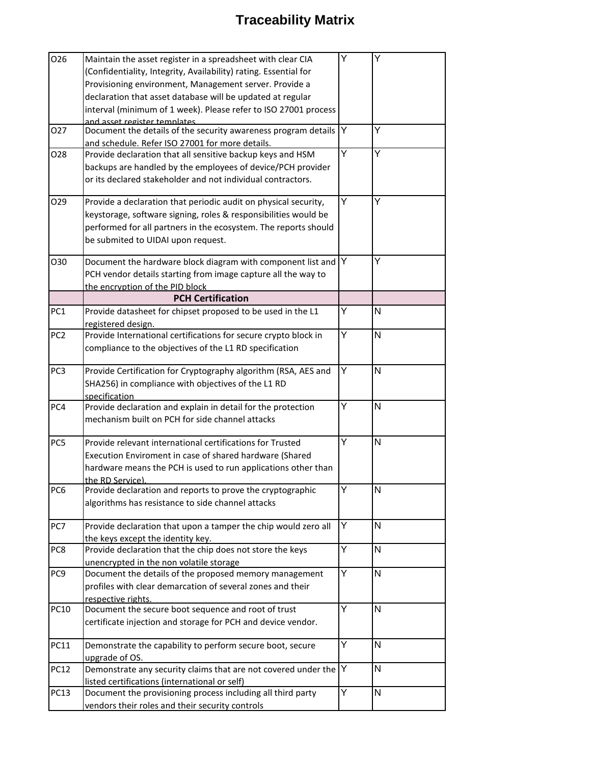| 026             | Maintain the asset register in a spreadsheet with clear CIA                       | Y | Υ              |
|-----------------|-----------------------------------------------------------------------------------|---|----------------|
|                 | (Confidentiality, Integrity, Availability) rating. Essential for                  |   |                |
|                 | Provisioning environment, Management server. Provide a                            |   |                |
|                 | declaration that asset database will be updated at regular                        |   |                |
|                 | interval (minimum of 1 week). Please refer to ISO 27001 process                   |   |                |
|                 | and asset register templates                                                      |   |                |
| 027             | Document the details of the security awareness program details                    | Y | Y              |
|                 | and schedule. Refer ISO 27001 for more details.                                   |   |                |
| 028             | Provide declaration that all sensitive backup keys and HSM                        | Y | Y              |
|                 | backups are handled by the employees of device/PCH provider                       |   |                |
|                 | or its declared stakeholder and not individual contractors.                       |   |                |
|                 |                                                                                   |   |                |
| 029             | Provide a declaration that periodic audit on physical security,                   | Y | Y              |
|                 | keystorage, software signing, roles & responsibilities would be                   |   |                |
|                 | performed for all partners in the ecosystem. The reports should                   |   |                |
|                 | be submited to UIDAI upon request.                                                |   |                |
|                 |                                                                                   |   |                |
| 030             | Document the hardware block diagram with component list and                       | Y | Υ              |
|                 | PCH vendor details starting from image capture all the way to                     |   |                |
|                 | the encryption of the PID block                                                   |   |                |
|                 | <b>PCH Certification</b>                                                          |   |                |
| PC <sub>1</sub> |                                                                                   | Υ | N              |
|                 | Provide datasheet for chipset proposed to be used in the L1<br>registered design. |   |                |
| PC <sub>2</sub> | Provide International certifications for secure crypto block in                   | Y | N              |
|                 |                                                                                   |   |                |
|                 | compliance to the objectives of the L1 RD specification                           |   |                |
| PC <sub>3</sub> | Provide Certification for Cryptography algorithm (RSA, AES and                    | Υ | N              |
|                 | SHA256) in compliance with objectives of the L1 RD                                |   |                |
|                 |                                                                                   |   |                |
| PC4             | specification<br>Provide declaration and explain in detail for the protection     | Υ | N              |
|                 | mechanism built on PCH for side channel attacks                                   |   |                |
|                 |                                                                                   |   |                |
| PC5             | Provide relevant international certifications for Trusted                         | Y | N              |
|                 | Execution Enviroment in case of shared hardware (Shared                           |   |                |
|                 | hardware means the PCH is used to run applications other than                     |   |                |
|                 | the RD Service)                                                                   |   |                |
| PC6             | Provide declaration and reports to prove the cryptographic                        | Y | ${\sf N}$      |
|                 | algorithms has resistance to side channel attacks                                 |   |                |
|                 |                                                                                   |   |                |
| PC7             | Provide declaration that upon a tamper the chip would zero all                    | Υ | N              |
|                 | the keys except the identity key.                                                 |   |                |
| PC8             | Provide declaration that the chip does not store the keys                         | Y | N              |
|                 | unencrypted in the non volatile storage                                           |   |                |
| PC9             | Document the details of the proposed memory management                            | Y | $\overline{N}$ |
|                 | profiles with clear demarcation of several zones and their                        |   |                |
|                 | respective rights.                                                                |   |                |
| <b>PC10</b>     | Document the secure boot sequence and root of trust                               | Y | N              |
|                 | certificate injection and storage for PCH and device vendor.                      |   |                |
|                 |                                                                                   |   |                |
| <b>PC11</b>     | Demonstrate the capability to perform secure boot, secure                         | Y | N              |
|                 | upgrade of OS.                                                                    |   |                |
| <b>PC12</b>     | Demonstrate any security claims that are not covered under the                    | Y | N              |
|                 | listed certifications (international or self)                                     |   |                |
| <b>PC13</b>     | Document the provisioning process including all third party                       | Y | N              |
|                 | vendors their roles and their security controls                                   |   |                |
|                 |                                                                                   |   |                |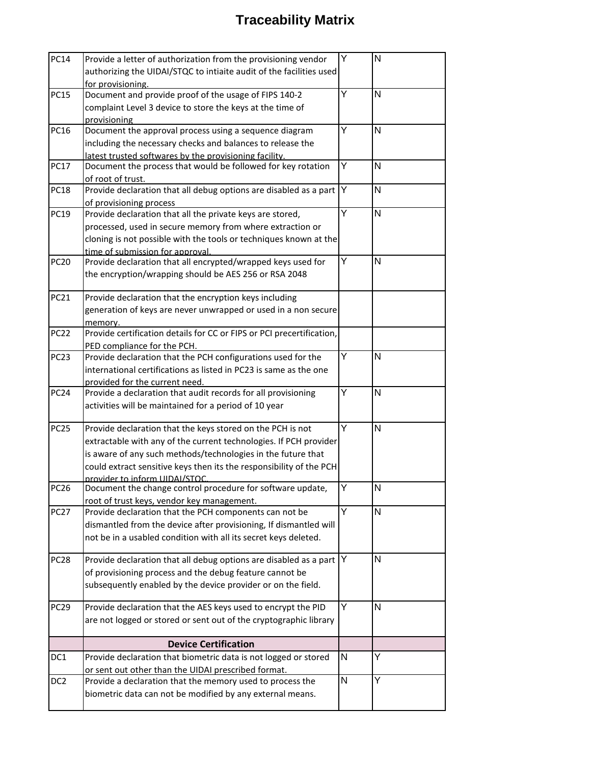| <b>PC14</b>      | Provide a letter of authorization from the provisioning vendor        | Y            | $\mathsf{N}$   |
|------------------|-----------------------------------------------------------------------|--------------|----------------|
|                  | authorizing the UIDAI/STQC to intiaite audit of the facilities used   |              |                |
|                  | for provisioning.                                                     |              |                |
| <b>PC15</b>      | Document and provide proof of the usage of FIPS 140-2                 | Y            | N              |
|                  | complaint Level 3 device to store the keys at the time of             |              |                |
|                  | provisioning                                                          |              |                |
| <b>PC16</b>      | Document the approval process using a sequence diagram                | Υ            | IN.            |
|                  | including the necessary checks and balances to release the            |              |                |
|                  | latest trusted softwares by the provisioning facility.                |              |                |
| <b>PC17</b>      | Document the process that would be followed for key rotation          | Y            | N              |
|                  | of root of trust.                                                     |              |                |
| <b>PC18</b>      | Provide declaration that all debug options are disabled as a part     | Y            | N              |
|                  | of provisioning process                                               |              |                |
| <b>PC19</b>      | Provide declaration that all the private keys are stored,             | Y            | N              |
|                  | processed, used in secure memory from where extraction or             |              |                |
|                  | cloning is not possible with the tools or techniques known at the     |              |                |
|                  | time of submission for approval.                                      |              |                |
| <b>PC20</b>      | Provide declaration that all encrypted/wrapped keys used for          | Υ            | $\mathsf{N}$   |
|                  | the encryption/wrapping should be AES 256 or RSA 2048                 |              |                |
|                  |                                                                       |              |                |
| PC <sub>21</sub> | Provide declaration that the encryption keys including                |              |                |
|                  | generation of keys are never unwrapped or used in a non secure        |              |                |
|                  | memory.                                                               |              |                |
| PC <sub>22</sub> | Provide certification details for CC or FIPS or PCI precertification, |              |                |
|                  | PED compliance for the PCH.                                           |              |                |
| PC <sub>23</sub> | Provide declaration that the PCH configurations used for the          | Y            | N              |
|                  | international certifications as listed in PC23 is same as the one     |              |                |
|                  | provided for the current need.                                        |              |                |
| PC <sub>24</sub> | Provide a declaration that audit records for all provisioning         | Y            | $\mathsf{N}$   |
|                  | activities will be maintained for a period of 10 year                 |              |                |
| PC <sub>25</sub> | Provide declaration that the keys stored on the PCH is not            | Ÿ            | $\overline{N}$ |
|                  | extractable with any of the current technologies. If PCH provider     |              |                |
|                  | is aware of any such methods/technologies in the future that          |              |                |
|                  | could extract sensitive keys then its the responsibility of the PCH   |              |                |
|                  | provider to inform UIDAI/STOC                                         |              |                |
| PC <sub>26</sub> | Document the change control procedure for software update,            | Y            | N              |
|                  | root of trust keys, vendor key management.                            |              |                |
| PC <sub>27</sub> | Provide declaration that the PCH components can not be                | Υ            | N              |
|                  | dismantled from the device after provisioning, If dismantled will     |              |                |
|                  | not be in a usabled condition with all its secret keys deleted.       |              |                |
|                  |                                                                       |              |                |
| PC <sub>28</sub> | Provide declaration that all debug options are disabled as a part     | Y            | N              |
|                  | of provisioning process and the debug feature cannot be               |              |                |
|                  | subsequently enabled by the device provider or on the field.          |              |                |
| PC <sub>29</sub> | Provide declaration that the AES keys used to encrypt the PID         | Υ            | N              |
|                  | are not logged or stored or sent out of the cryptographic library     |              |                |
|                  | <b>Device Certification</b>                                           |              |                |
| DC1              | Provide declaration that biometric data is not logged or stored       | $\mathsf{N}$ | Y              |
|                  | or sent out other than the UIDAI prescribed format.                   |              |                |
| DC <sub>2</sub>  | Provide a declaration that the memory used to process the             | $\mathsf{N}$ | Y              |
|                  | biometric data can not be modified by any external means.             |              |                |
|                  |                                                                       |              |                |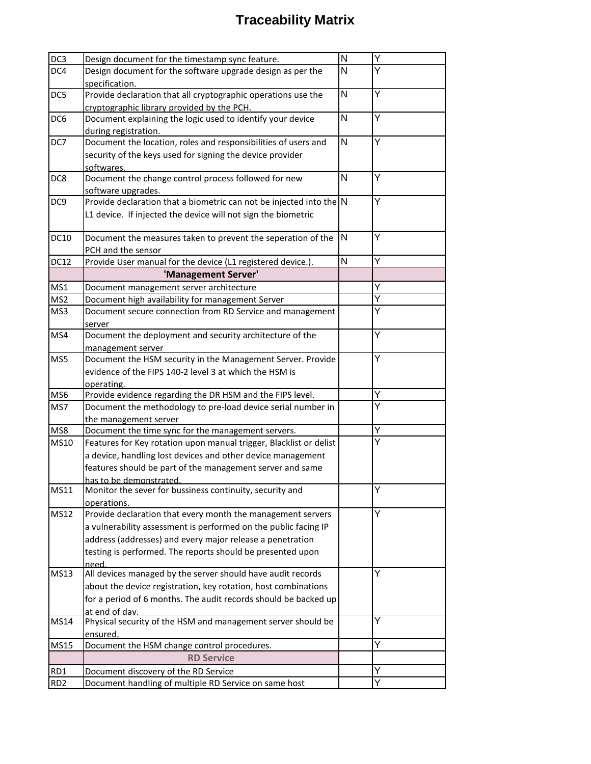| DC3             | Design document for the timestamp sync feature.                       | $\mathsf{N}$ | Υ              |
|-----------------|-----------------------------------------------------------------------|--------------|----------------|
| DC4             | Design document for the software upgrade design as per the            | $\mathsf{N}$ | Y              |
|                 | specification.                                                        |              |                |
| DC5             | Provide declaration that all cryptographic operations use the         | N            | Υ              |
|                 | cryptographic library provided by the PCH.                            |              |                |
| DC6             | Document explaining the logic used to identify your device            | N            | Y              |
|                 | during registration.                                                  |              |                |
| DC7             | Document the location, roles and responsibilities of users and        | N            | Υ              |
|                 | security of the keys used for signing the device provider             |              |                |
|                 | softwares.                                                            |              |                |
| DC8             | Document the change control process followed for new                  | N            | Y              |
|                 | software upgrades.                                                    |              |                |
| DC <sub>9</sub> | Provide declaration that a biometric can not be injected into the $N$ |              | Υ              |
|                 | L1 device. If injected the device will not sign the biometric         |              |                |
|                 |                                                                       |              |                |
| DC10            | Document the measures taken to prevent the seperation of the          | N            | Υ              |
|                 | PCH and the sensor                                                    |              |                |
| <b>DC12</b>     | Provide User manual for the device (L1 registered device.).           | N            | Υ              |
|                 | 'Management Server'                                                   |              |                |
| MS1             | Document management server architecture                               |              | Ÿ              |
| MS <sub>2</sub> | Document high availability for management Server                      |              | Ÿ              |
| MS3             | Document secure connection from RD Service and management             |              | Y              |
|                 | server                                                                |              |                |
| MS4             | Document the deployment and security architecture of the              |              | Y              |
|                 | management server                                                     |              |                |
| MS5             | Document the HSM security in the Management Server. Provide           |              | Υ              |
|                 | evidence of the FIPS 140-2 level 3 at which the HSM is                |              |                |
|                 | operating.                                                            |              |                |
| MS6             | Provide evidence regarding the DR HSM and the FIPS level.             |              | Υ              |
| MS7             | Document the methodology to pre-load device serial number in          |              | Y              |
|                 | the management server                                                 |              |                |
| MS8             | Document the time sync for the management servers.                    |              | Υ              |
| MS10            | Features for Key rotation upon manual trigger, Blacklist or delist    |              | $\overline{Y}$ |
|                 | a device, handling lost devices and other device management           |              |                |
|                 | features should be part of the management server and same             |              |                |
|                 | has to be demonstrated.                                               |              |                |
| MS11            | Monitor the sever for bussiness continuity, security and              |              | Υ              |
|                 | operations.                                                           |              |                |
| MS12            | Provide declaration that every month the management servers           |              | Υ              |
|                 | a vulnerability assessment is performed on the public facing IP       |              |                |
|                 | address (addresses) and every major release a penetration             |              |                |
|                 | testing is performed. The reports should be presented upon            |              |                |
|                 | heed                                                                  |              |                |
| MS13            | All devices managed by the server should have audit records           |              | Υ              |
|                 | about the device registration, key rotation, host combinations        |              |                |
|                 | for a period of 6 months. The audit records should be backed up       |              |                |
|                 | at end of dav.                                                        |              |                |
| MS14            | Physical security of the HSM and management server should be          |              | Υ              |
|                 | ensured.                                                              |              |                |
| <b>MS15</b>     | Document the HSM change control procedures.                           |              | Υ              |
|                 | <b>RD Service</b>                                                     |              |                |
| RD1             | Document discovery of the RD Service                                  |              | Y              |
| RD <sub>2</sub> | Document handling of multiple RD Service on same host                 |              | Υ              |